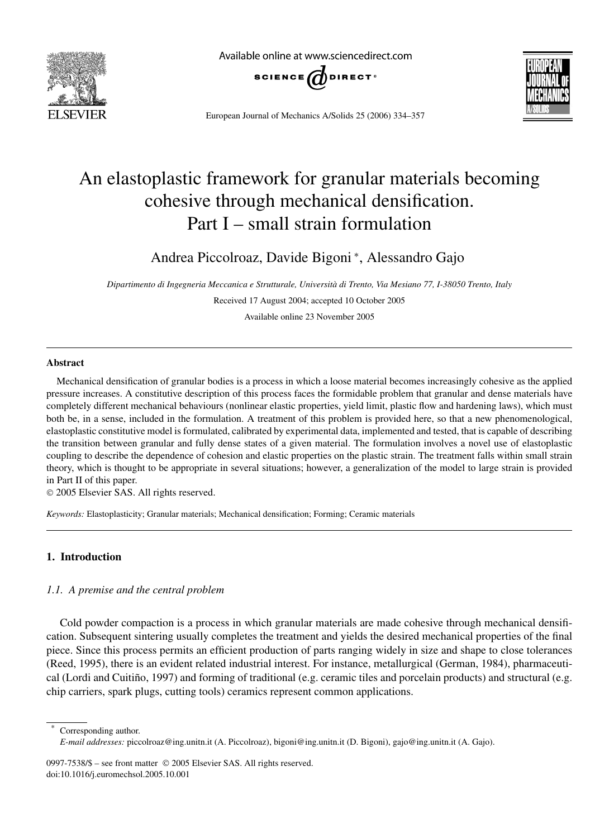

Available online at www.sciencedirect.com





European Journal of Mechanics A/Solids 25 (2006) 334–357

# An elastoplastic framework for granular materials becoming cohesive through mechanical densification. Part I – small strain formulation

Andrea Piccolroaz, Davide Bigoni <sup>∗</sup> , Alessandro Gajo

*Dipartimento di Ingegneria Meccanica e Strutturale, Università di Trento, Via Mesiano 77, I-38050 Trento, Italy* Received 17 August 2004; accepted 10 October 2005

Available online 23 November 2005

### **Abstract**

Mechanical densification of granular bodies is a process in which a loose material becomes increasingly cohesive as the applied pressure increases. A constitutive description of this process faces the formidable problem that granular and dense materials have completely different mechanical behaviours (nonlinear elastic properties, yield limit, plastic flow and hardening laws), which must both be, in a sense, included in the formulation. A treatment of this problem is provided here, so that a new phenomenological, elastoplastic constitutive model is formulated, calibrated by experimental data, implemented and tested, that is capable of describing the transition between granular and fully dense states of a given material. The formulation involves a novel use of elastoplastic coupling to describe the dependence of cohesion and elastic properties on the plastic strain. The treatment falls within small strain theory, which is thought to be appropriate in several situations; however, a generalization of the model to large strain is provided in Part II of this paper.

2005 Elsevier SAS. All rights reserved.

*Keywords:* Elastoplasticity; Granular materials; Mechanical densification; Forming; Ceramic materials

# **1. Introduction**

### *1.1. A premise and the central problem*

Cold powder compaction is a process in which granular materials are made cohesive through mechanical densification. Subsequent sintering usually completes the treatment and yields the desired mechanical properties of the final piece. Since this process permits an efficient production of parts ranging widely in size and shape to close tolerances (Reed, 1995), there is an evident related industrial interest. For instance, metallurgical (German, 1984), pharmaceutical (Lordi and Cuitiño, 1997) and forming of traditional (e.g. ceramic tiles and porcelain products) and structural (e.g. chip carriers, spark plugs, cutting tools) ceramics represent common applications.

Corresponding author.

0997-7538/\$ – see front matter © 2005 Elsevier SAS. All rights reserved. doi:10.1016/j.euromechsol.2005.10.001

*E-mail addresses:* piccolroaz@ing.unitn.it (A. Piccolroaz), bigoni@ing.unitn.it (D. Bigoni), gajo@ing.unitn.it (A. Gajo).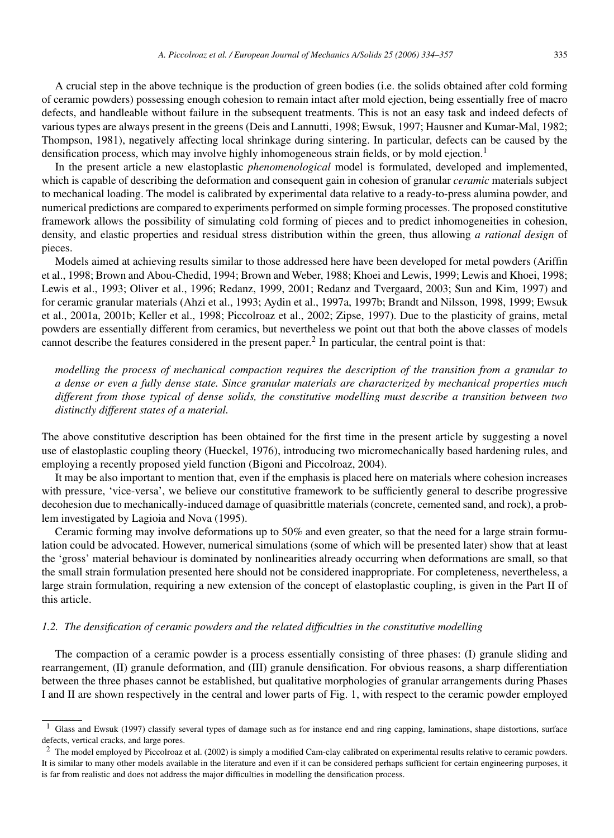A crucial step in the above technique is the production of green bodies (i.e. the solids obtained after cold forming of ceramic powders) possessing enough cohesion to remain intact after mold ejection, being essentially free of macro defects, and handleable without failure in the subsequent treatments. This is not an easy task and indeed defects of various types are always present in the greens (Deis and Lannutti, 1998; Ewsuk, 1997; Hausner and Kumar-Mal, 1982; Thompson, 1981), negatively affecting local shrinkage during sintering. In particular, defects can be caused by the densification process, which may involve highly inhomogeneous strain fields, or by mold ejection.<sup>1</sup>

In the present article a new elastoplastic *phenomenological* model is formulated, developed and implemented, which is capable of describing the deformation and consequent gain in cohesion of granular *ceramic* materials subject to mechanical loading. The model is calibrated by experimental data relative to a ready-to-press alumina powder, and numerical predictions are compared to experiments performed on simple forming processes. The proposed constitutive framework allows the possibility of simulating cold forming of pieces and to predict inhomogeneities in cohesion, density, and elastic properties and residual stress distribution within the green, thus allowing *a rational design* of pieces.

Models aimed at achieving results similar to those addressed here have been developed for metal powders (Ariffin et al., 1998; Brown and Abou-Chedid, 1994; Brown and Weber, 1988; Khoei and Lewis, 1999; Lewis and Khoei, 1998; Lewis et al., 1993; Oliver et al., 1996; Redanz, 1999, 2001; Redanz and Tvergaard, 2003; Sun and Kim, 1997) and for ceramic granular materials (Ahzi et al., 1993; Aydin et al., 1997a, 1997b; Brandt and Nilsson, 1998, 1999; Ewsuk et al., 2001a, 2001b; Keller et al., 1998; Piccolroaz et al., 2002; Zipse, 1997). Due to the plasticity of grains, metal powders are essentially different from ceramics, but nevertheless we point out that both the above classes of models cannot describe the features considered in the present paper.<sup>2</sup> In particular, the central point is that:

*modelling the process of mechanical compaction requires the description of the transition from a granular to a dense or even a fully dense state. Since granular materials are characterized by mechanical properties much different from those typical of dense solids, the constitutive modelling must describe a transition between two distinctly different states of a material.*

The above constitutive description has been obtained for the first time in the present article by suggesting a novel use of elastoplastic coupling theory (Hueckel, 1976), introducing two micromechanically based hardening rules, and employing a recently proposed yield function (Bigoni and Piccolroaz, 2004).

It may be also important to mention that, even if the emphasis is placed here on materials where cohesion increases with pressure, 'vice-versa', we believe our constitutive framework to be sufficiently general to describe progressive decohesion due to mechanically-induced damage of quasibrittle materials (concrete, cemented sand, and rock), a problem investigated by Lagioia and Nova (1995).

Ceramic forming may involve deformations up to 50% and even greater, so that the need for a large strain formulation could be advocated. However, numerical simulations (some of which will be presented later) show that at least the 'gross' material behaviour is dominated by nonlinearities already occurring when deformations are small, so that the small strain formulation presented here should not be considered inappropriate. For completeness, nevertheless, a large strain formulation, requiring a new extension of the concept of elastoplastic coupling, is given in the Part II of this article.

# *1.2. The densification of ceramic powders and the related difficulties in the constitutive modelling*

The compaction of a ceramic powder is a process essentially consisting of three phases: (I) granule sliding and rearrangement, (II) granule deformation, and (III) granule densification. For obvious reasons, a sharp differentiation between the three phases cannot be established, but qualitative morphologies of granular arrangements during Phases I and II are shown respectively in the central and lower parts of Fig. 1, with respect to the ceramic powder employed

<sup>&</sup>lt;sup>1</sup> Glass and Ewsuk (1997) classify several types of damage such as for instance end and ring capping, laminations, shape distortions, surface defects, vertical cracks, and large pores.

<sup>&</sup>lt;sup>2</sup> The model employed by Piccolroaz et al. (2002) is simply a modified Cam-clay calibrated on experimental results relative to ceramic powders. It is similar to many other models available in the literature and even if it can be considered perhaps sufficient for certain engineering purposes, it is far from realistic and does not address the major difficulties in modelling the densification process.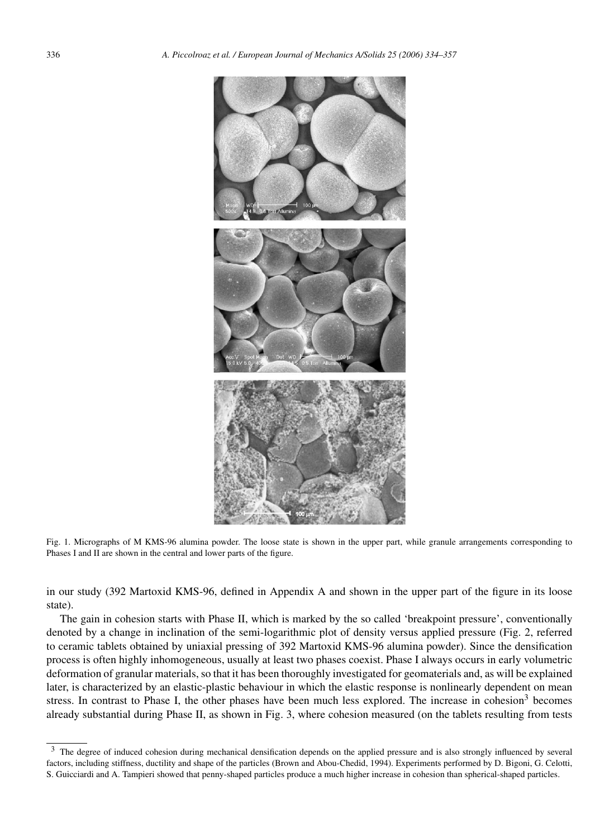

Fig. 1. Micrographs of M KMS-96 alumina powder. The loose state is shown in the upper part, while granule arrangements corresponding to Phases I and II are shown in the central and lower parts of the figure.

in our study (392 Martoxid KMS-96, defined in Appendix A and shown in the upper part of the figure in its loose state).

The gain in cohesion starts with Phase II, which is marked by the so called 'breakpoint pressure', conventionally denoted by a change in inclination of the semi-logarithmic plot of density versus applied pressure (Fig. 2, referred to ceramic tablets obtained by uniaxial pressing of 392 Martoxid KMS-96 alumina powder). Since the densification process is often highly inhomogeneous, usually at least two phases coexist. Phase I always occurs in early volumetric deformation of granular materials, so that it has been thoroughly investigated for geomaterials and, as will be explained later, is characterized by an elastic-plastic behaviour in which the elastic response is nonlinearly dependent on mean stress. In contrast to Phase I, the other phases have been much less explored. The increase in cohesion<sup>3</sup> becomes already substantial during Phase II, as shown in Fig. 3, where cohesion measured (on the tablets resulting from tests

<sup>&</sup>lt;sup>3</sup> The degree of induced cohesion during mechanical densification depends on the applied pressure and is also strongly influenced by several factors, including stiffness, ductility and shape of the particles (Brown and Abou-Chedid, 1994). Experiments performed by D. Bigoni, G. Celotti, S. Guicciardi and A. Tampieri showed that penny-shaped particles produce a much higher increase in cohesion than spherical-shaped particles.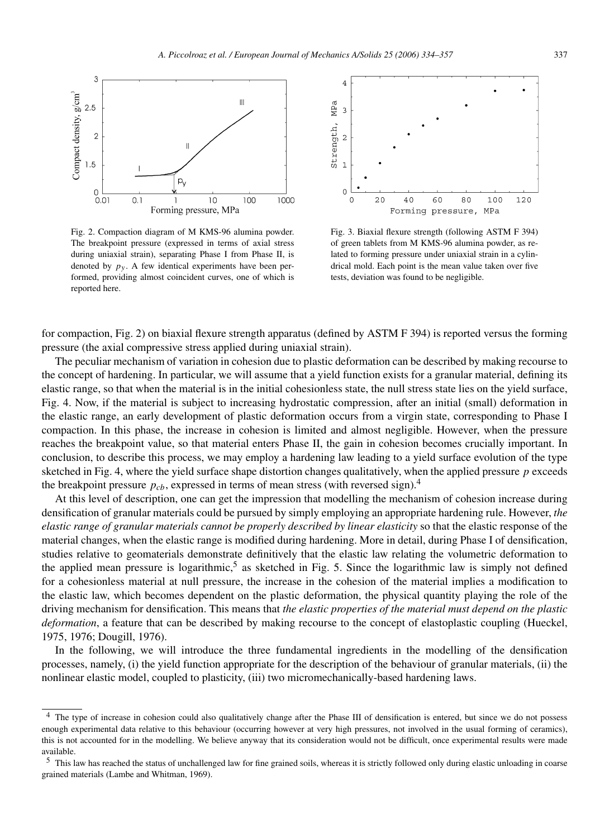

Forming pressure, MPa

Fig. 2. Compaction diagram of M KMS-96 alumina powder. The breakpoint pressure (expressed in terms of axial stress during uniaxial strain), separating Phase I from Phase II, is denoted by  $p_y$ . A few identical experiments have been performed, providing almost coincident curves, one of which is reported here.



Fig. 3. Biaxial flexure strength (following ASTM F 394) of green tablets from M KMS-96 alumina powder, as related to forming pressure under uniaxial strain in a cylindrical mold. Each point is the mean value taken over five tests, deviation was found to be negligible.

for compaction, Fig. 2) on biaxial flexure strength apparatus (defined by ASTM F 394) is reported versus the forming pressure (the axial compressive stress applied during uniaxial strain).

The peculiar mechanism of variation in cohesion due to plastic deformation can be described by making recourse to the concept of hardening. In particular, we will assume that a yield function exists for a granular material, defining its elastic range, so that when the material is in the initial cohesionless state, the null stress state lies on the yield surface, Fig. 4. Now, if the material is subject to increasing hydrostatic compression, after an initial (small) deformation in the elastic range, an early development of plastic deformation occurs from a virgin state, corresponding to Phase I compaction. In this phase, the increase in cohesion is limited and almost negligible. However, when the pressure reaches the breakpoint value, so that material enters Phase II, the gain in cohesion becomes crucially important. In conclusion, to describe this process, we may employ a hardening law leading to a yield surface evolution of the type sketched in Fig. 4, where the yield surface shape distortion changes qualitatively, when the applied pressure *p* exceeds the breakpoint pressure  $p_{cb}$ , expressed in terms of mean stress (with reversed sign).<sup>4</sup>

At this level of description, one can get the impression that modelling the mechanism of cohesion increase during densification of granular materials could be pursued by simply employing an appropriate hardening rule. However, *the elastic range of granular materials cannot be properly described by linear elasticity* so that the elastic response of the material changes, when the elastic range is modified during hardening. More in detail, during Phase I of densification, studies relative to geomaterials demonstrate definitively that the elastic law relating the volumetric deformation to the applied mean pressure is logarithmic,<sup>5</sup> as sketched in Fig. 5. Since the logarithmic law is simply not defined for a cohesionless material at null pressure, the increase in the cohesion of the material implies a modification to the elastic law, which becomes dependent on the plastic deformation, the physical quantity playing the role of the driving mechanism for densification. This means that *the elastic properties of the material must depend on the plastic deformation*, a feature that can be described by making recourse to the concept of elastoplastic coupling (Hueckel, 1975, 1976; Dougill, 1976).

In the following, we will introduce the three fundamental ingredients in the modelling of the densification processes, namely, (i) the yield function appropriate for the description of the behaviour of granular materials, (ii) the nonlinear elastic model, coupled to plasticity, (iii) two micromechanically-based hardening laws.

<sup>&</sup>lt;sup>4</sup> The type of increase in cohesion could also qualitatively change after the Phase III of densification is entered, but since we do not possess enough experimental data relative to this behaviour (occurring however at very high pressures, not involved in the usual forming of ceramics), this is not accounted for in the modelling. We believe anyway that its consideration would not be difficult, once experimental results were made available.

<sup>5</sup> This law has reached the status of unchallenged law for fine grained soils, whereas it is strictly followed only during elastic unloading in coarse grained materials (Lambe and Whitman, 1969).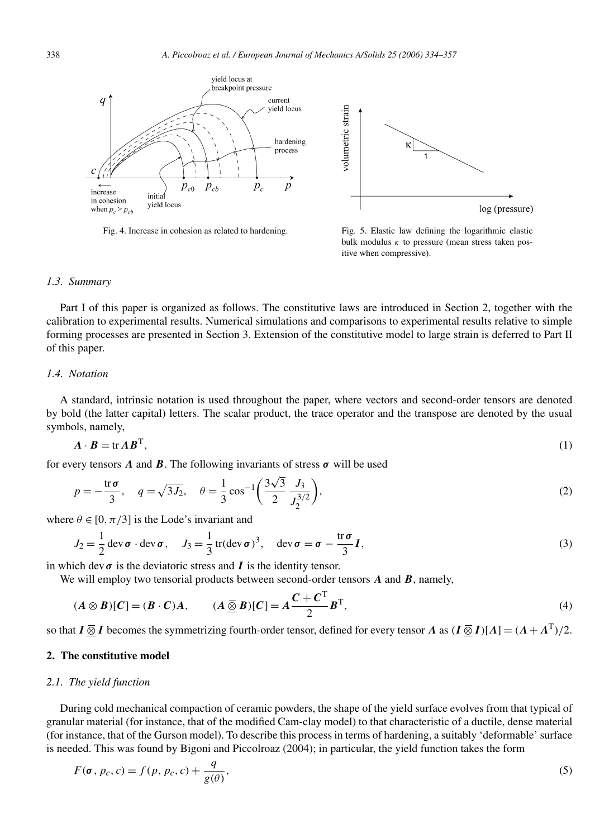



Fig. 4. Increase in cohesion as related to hardening. Fig. 5. Elastic law defining the logarithmic elastic bulk modulus *κ* to pressure (mean stress taken positive when compressive).

#### *1.3. Summary*

Part I of this paper is organized as follows. The constitutive laws are introduced in Section 2, together with the calibration to experimental results. Numerical simulations and comparisons to experimental results relative to simple forming processes are presented in Section 3. Extension of the constitutive model to large strain is deferred to Part II of this paper.

# *1.4. Notation*

A standard, intrinsic notation is used throughout the paper, where vectors and second-order tensors are denoted by bold (the latter capital) letters. The scalar product, the trace operator and the transpose are denoted by the usual symbols, namely,

$$
A \cdot B = \text{tr} \, AB^{\text{T}},\tag{1}
$$

for every tensors  $\vec{A}$  and  $\vec{B}$ . The following invariants of stress  $\sigma$  will be used

$$
p = -\frac{\text{tr}\,\sigma}{3}, \quad q = \sqrt{3J_2}, \quad \theta = \frac{1}{3}\cos^{-1}\left(\frac{3\sqrt{3}}{2}\frac{J_3}{J_2^{3/2}}\right),\tag{2}
$$

where  $\theta \in [0, \pi/3]$  is the Lode's invariant and

$$
J_2 = \frac{1}{2} \operatorname{dev} \boldsymbol{\sigma} \cdot \operatorname{dev} \boldsymbol{\sigma}, \quad J_3 = \frac{1}{3} \operatorname{tr}(\operatorname{dev} \boldsymbol{\sigma})^3, \quad \operatorname{dev} \boldsymbol{\sigma} = \boldsymbol{\sigma} - \frac{\operatorname{tr} \boldsymbol{\sigma}}{3} \boldsymbol{I}, \tag{3}
$$

in which dev  $\sigma$  is the deviatoric stress and  $I$  is the identity tensor.

We will employ two tensorial products between second-order tensors *A* and *B*, namely,

$$
(A \otimes B)[C] = (B \cdot C)A, \qquad (A \underline{\overline{\otimes}} B)[C] = A \frac{C + C^{T}}{2} B^{T}, \qquad (4)
$$

so that  $I \overline{\otimes} I$  becomes the symmetrizing fourth-order tensor, defined for every tensor *A* as  $(I \overline{\otimes} I)[A] = (A + A^{T})/2$ .

# **2. The constitutive model**

#### *2.1. The yield function*

During cold mechanical compaction of ceramic powders, the shape of the yield surface evolves from that typical of granular material (for instance, that of the modified Cam-clay model) to that characteristic of a ductile, dense material (for instance, that of the Gurson model). To describe this process in terms of hardening, a suitably 'deformable' surface is needed. This was found by Bigoni and Piccolroaz (2004); in particular, the yield function takes the form

$$
F(\sigma, p_c, c) = f(p, p_c, c) + \frac{q}{g(\theta)},
$$
\n(5)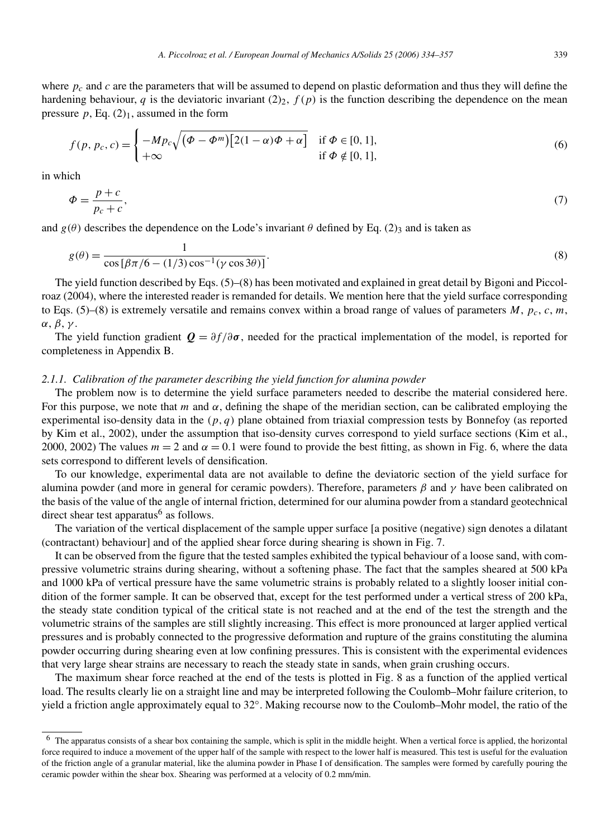$$
f(p, p_c, c) = \begin{cases} -Mp_c \sqrt{(\Phi - \Phi^m) [2(1 - \alpha)\Phi + \alpha]} & \text{if } \Phi \in [0, 1], \\ +\infty & \text{if } \Phi \notin [0, 1], \end{cases}
$$
 (6)

in which

$$
\Phi = \frac{p+c}{p_c+c},\tag{7}
$$

and  $g(\theta)$  describes the dependence on the Lode's invariant  $\theta$  defined by Eq. (2)<sub>3</sub> and is taken as

$$
g(\theta) = \frac{1}{\cos[\beta \pi/6 - (1/3)\cos^{-1}(\gamma \cos 3\theta)]}.
$$
\n(8)

The yield function described by Eqs. (5)–(8) has been motivated and explained in great detail by Bigoni and Piccolroaz (2004), where the interested reader is remanded for details. We mention here that the yield surface corresponding to Eqs. (5)–(8) is extremely versatile and remains convex within a broad range of values of parameters  $M$ ,  $p_c$ ,  $c$ ,  $m$ , *α*, *β*, *γ* .

The yield function gradient  $Q = \partial f/\partial \sigma$ , needed for the practical implementation of the model, is reported for completeness in Appendix B.

### *2.1.1. Calibration of the parameter describing the yield function for alumina powder*

The problem now is to determine the yield surface parameters needed to describe the material considered here. For this purpose, we note that *m* and *α*, defining the shape of the meridian section, can be calibrated employing the experimental iso-density data in the *(p, q)* plane obtained from triaxial compression tests by Bonnefoy (as reported by Kim et al., 2002), under the assumption that iso-density curves correspond to yield surface sections (Kim et al., 2000, 2002) The values  $m = 2$  and  $\alpha = 0.1$  were found to provide the best fitting, as shown in Fig. 6, where the data sets correspond to different levels of densification.

To our knowledge, experimental data are not available to define the deviatoric section of the yield surface for alumina powder (and more in general for ceramic powders). Therefore, parameters *β* and *γ* have been calibrated on the basis of the value of the angle of internal friction, determined for our alumina powder from a standard geotechnical direct shear test apparatus $<sup>6</sup>$  as follows.</sup>

The variation of the vertical displacement of the sample upper surface [a positive (negative) sign denotes a dilatant (contractant) behaviour] and of the applied shear force during shearing is shown in Fig. 7.

It can be observed from the figure that the tested samples exhibited the typical behaviour of a loose sand, with compressive volumetric strains during shearing, without a softening phase. The fact that the samples sheared at 500 kPa and 1000 kPa of vertical pressure have the same volumetric strains is probably related to a slightly looser initial condition of the former sample. It can be observed that, except for the test performed under a vertical stress of 200 kPa, the steady state condition typical of the critical state is not reached and at the end of the test the strength and the volumetric strains of the samples are still slightly increasing. This effect is more pronounced at larger applied vertical pressures and is probably connected to the progressive deformation and rupture of the grains constituting the alumina powder occurring during shearing even at low confining pressures. This is consistent with the experimental evidences that very large shear strains are necessary to reach the steady state in sands, when grain crushing occurs.

The maximum shear force reached at the end of the tests is plotted in Fig. 8 as a function of the applied vertical load. The results clearly lie on a straight line and may be interpreted following the Coulomb–Mohr failure criterion, to yield a friction angle approximately equal to 32◦. Making recourse now to the Coulomb–Mohr model, the ratio of the

 $6\text{ The apparatus consists of a shear box containing the sample, which is split in the middle height. When a vertical force is applied, the horizontal force is also 1.5.}$ force required to induce a movement of the upper half of the sample with respect to the lower half is measured. This test is useful for the evaluation of the friction angle of a granular material, like the alumina powder in Phase I of densification. The samples were formed by carefully pouring the ceramic powder within the shear box. Shearing was performed at a velocity of 0.2 mm/min.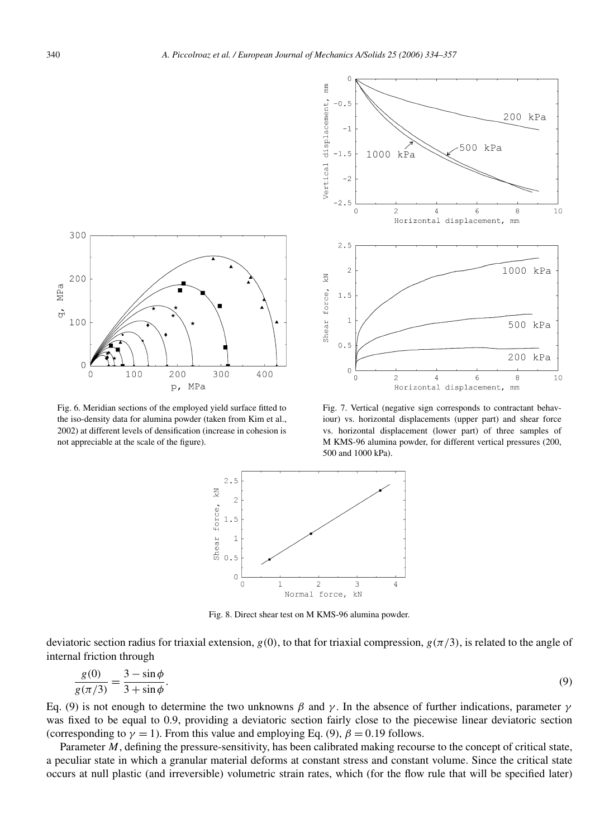



Fig. 6. Meridian sections of the employed yield surface fitted to the iso-density data for alumina powder (taken from Kim et al., 2002) at different levels of densification (increase in cohesion is not appreciable at the scale of the figure).



Fig. 7. Vertical (negative sign corresponds to contractant behaviour) vs. horizontal displacements (upper part) and shear force vs. horizontal displacement (lower part) of three samples of M KMS-96 alumina powder, for different vertical pressures (200, 500 and 1000 kPa).



Fig. 8. Direct shear test on M KMS-96 alumina powder.

deviatoric section radius for triaxial extension,  $g(0)$ , to that for triaxial compression,  $g(\pi/3)$ , is related to the angle of internal friction through

$$
\frac{g(0)}{g(\pi/3)} = \frac{3 - \sin\phi}{3 + \sin\phi}.
$$
\n(9)

Eq. (9) is not enough to determine the two unknowns *β* and *γ* . In the absence of further indications, parameter *γ* was fixed to be equal to 0.9, providing a deviatoric section fairly close to the piecewise linear deviatoric section (corresponding to  $\gamma = 1$ ). From this value and employing Eq. (9),  $\beta = 0.19$  follows.

Parameter *M*, defining the pressure-sensitivity, has been calibrated making recourse to the concept of critical state, a peculiar state in which a granular material deforms at constant stress and constant volume. Since the critical state occurs at null plastic (and irreversible) volumetric strain rates, which (for the flow rule that will be specified later)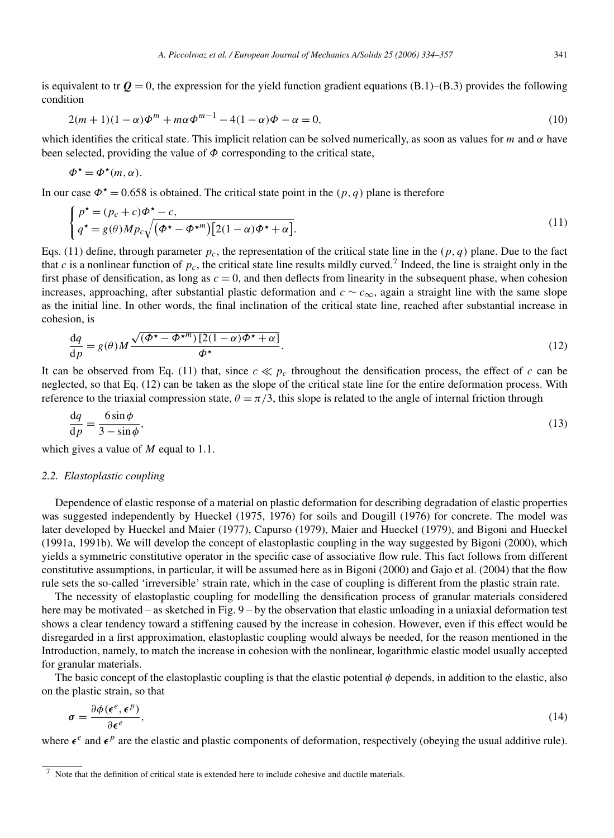is equivalent to tr  $Q = 0$ , the expression for the yield function gradient equations (B.1)–(B.3) provides the following condition

$$
2(m+1)(1-\alpha)\Phi^m + m\alpha\Phi^{m-1} - 4(1-\alpha)\Phi - \alpha = 0,
$$
\n(10)

which identifies the critical state. This implicit relation can be solved numerically, as soon as values for *m* and *α* have been selected, providing the value of  $\Phi$  corresponding to the critical state,

$$
\Phi^{\star} = \Phi^{\star}(m, \alpha).
$$

In our case  $\Phi^* = 0.658$  is obtained. The critical state point in the  $(p, q)$  plane is therefore

$$
\begin{cases} p^{\star} = (p_c + c)\Phi^{\star} - c, \\ q^{\star} = g(\theta)Mp_c\sqrt{(\Phi^{\star} - \Phi^{\star m})[2(1 - \alpha)\Phi^{\star} + \alpha]}.\end{cases}
$$
\n(11)

Eqs. (11) define, through parameter  $p_c$ , the representation of the critical state line in the  $(p, q)$  plane. Due to the fact that *c* is a nonlinear function of  $p_c$ , the critical state line results mildly curved.<sup>7</sup> Indeed, the line is straight only in the first phase of densification, as long as  $c = 0$ , and then deflects from linearity in the subsequent phase, when cohesion increases, approaching, after substantial plastic deformation and *c* ∼ *c*∞, again a straight line with the same slope as the initial line. In other words, the final inclination of the critical state line, reached after substantial increase in cohesion, is

$$
\frac{dq}{dp} = g(\theta)M\frac{\sqrt{(\phi^* - \phi^{*m})\left[2(1-\alpha)\phi^* + \alpha\right]}}{\phi^*}.
$$
\n(12)

It can be observed from Eq. (11) that, since  $c \ll p_c$  throughout the densification process, the effect of *c* can be neglected, so that Eq. (12) can be taken as the slope of the critical state line for the entire deformation process. With reference to the triaxial compression state,  $\theta = \pi/3$ , this slope is related to the angle of internal friction through

$$
\frac{\text{d}q}{\text{d}p} = \frac{6\sin\phi}{3 - \sin\phi},\tag{13}
$$

which gives a value of *M* equal to 1*.*1.

#### *2.2. Elastoplastic coupling*

Dependence of elastic response of a material on plastic deformation for describing degradation of elastic properties was suggested independently by Hueckel (1975, 1976) for soils and Dougill (1976) for concrete. The model was later developed by Hueckel and Maier (1977), Capurso (1979), Maier and Hueckel (1979), and Bigoni and Hueckel (1991a, 1991b). We will develop the concept of elastoplastic coupling in the way suggested by Bigoni (2000), which yields a symmetric constitutive operator in the specific case of associative flow rule. This fact follows from different constitutive assumptions, in particular, it will be assumed here as in Bigoni (2000) and Gajo et al. (2004) that the flow rule sets the so-called 'irreversible' strain rate, which in the case of coupling is different from the plastic strain rate.

The necessity of elastoplastic coupling for modelling the densification process of granular materials considered here may be motivated – as sketched in Fig. 9 – by the observation that elastic unloading in a uniaxial deformation test shows a clear tendency toward a stiffening caused by the increase in cohesion. However, even if this effect would be disregarded in a first approximation, elastoplastic coupling would always be needed, for the reason mentioned in the Introduction, namely, to match the increase in cohesion with the nonlinear, logarithmic elastic model usually accepted for granular materials.

The basic concept of the elastoplastic coupling is that the elastic potential  $\phi$  depends, in addition to the elastic, also on the plastic strain, so that

$$
\sigma = \frac{\partial \phi(\epsilon^e, \epsilon^p)}{\partial \epsilon^e},\tag{14}
$$

where  $\epsilon^e$  and  $\epsilon^p$  are the elastic and plastic components of deformation, respectively (obeying the usual additive rule).

<sup>7</sup> Note that the definition of critical state is extended here to include cohesive and ductile materials.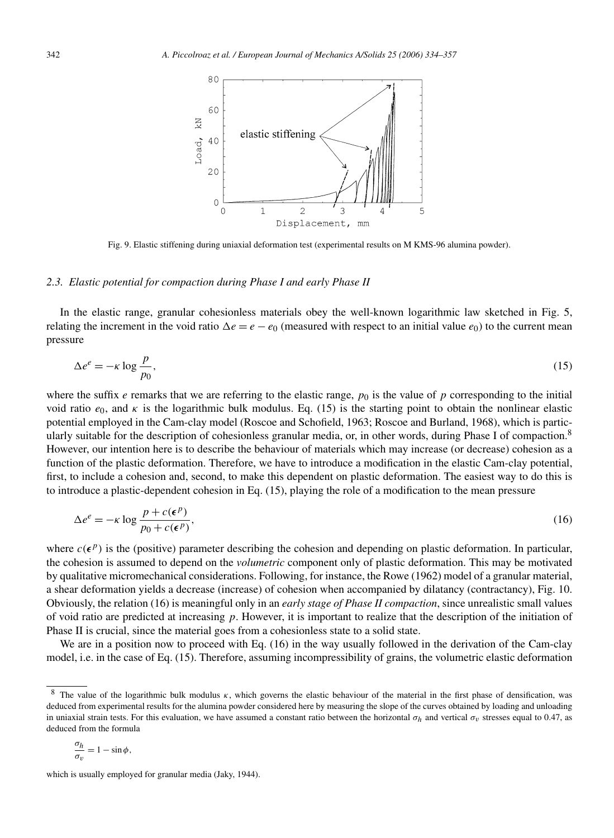

Fig. 9. Elastic stiffening during uniaxial deformation test (experimental results on M KMS-96 alumina powder).

# *2.3. Elastic potential for compaction during Phase I and early Phase II*

In the elastic range, granular cohesionless materials obey the well-known logarithmic law sketched in Fig. 5, relating the increment in the void ratio  $\Delta e = e - e_0$  (measured with respect to an initial value  $e_0$ ) to the current mean pressure

$$
\Delta e^e = -\kappa \log \frac{p}{p_0},\tag{15}
$$

where the suffix  $e$  remarks that we are referring to the elastic range,  $p_0$  is the value of  $p$  corresponding to the initial void ratio  $e_0$ , and  $\kappa$  is the logarithmic bulk modulus. Eq. (15) is the starting point to obtain the nonlinear elastic potential employed in the Cam-clay model (Roscoe and Schofield, 1963; Roscoe and Burland, 1968), which is particularly suitable for the description of cohesionless granular media, or, in other words, during Phase I of compaction.<sup>8</sup> However, our intention here is to describe the behaviour of materials which may increase (or decrease) cohesion as a function of the plastic deformation. Therefore, we have to introduce a modification in the elastic Cam-clay potential, first, to include a cohesion and, second, to make this dependent on plastic deformation. The easiest way to do this is to introduce a plastic-dependent cohesion in Eq. (15), playing the role of a modification to the mean pressure

$$
\Delta e^e = -\kappa \log \frac{p + c(\epsilon^p)}{p_0 + c(\epsilon^p)},\tag{16}
$$

where  $c(\epsilon^p)$  is the (positive) parameter describing the cohesion and depending on plastic deformation. In particular, the cohesion is assumed to depend on the *volumetric* component only of plastic deformation. This may be motivated by qualitative micromechanical considerations. Following, for instance, the Rowe (1962) model of a granular material, a shear deformation yields a decrease (increase) of cohesion when accompanied by dilatancy (contractancy), Fig. 10. Obviously, the relation (16) is meaningful only in an *early stage of Phase II compaction*, since unrealistic small values of void ratio are predicted at increasing *p*. However, it is important to realize that the description of the initiation of Phase II is crucial, since the material goes from a cohesionless state to a solid state.

We are in a position now to proceed with Eq. (16) in the way usually followed in the derivation of the Cam-clay model, i.e. in the case of Eq. (15). Therefore, assuming incompressibility of grains, the volumetric elastic deformation

$$
\frac{\sigma_h}{\sigma_v} = 1 - \sin \phi,
$$

<sup>8</sup> The value of the logarithmic bulk modulus *κ*, which governs the elastic behaviour of the material in the first phase of densification, was deduced from experimental results for the alumina powder considered here by measuring the slope of the curves obtained by loading and unloading in uniaxial strain tests. For this evaluation, we have assumed a constant ratio between the horizontal  $\sigma_h$  and vertical  $\sigma_v$  stresses equal to 0.47, as deduced from the formula

which is usually employed for granular media (Jaky, 1944).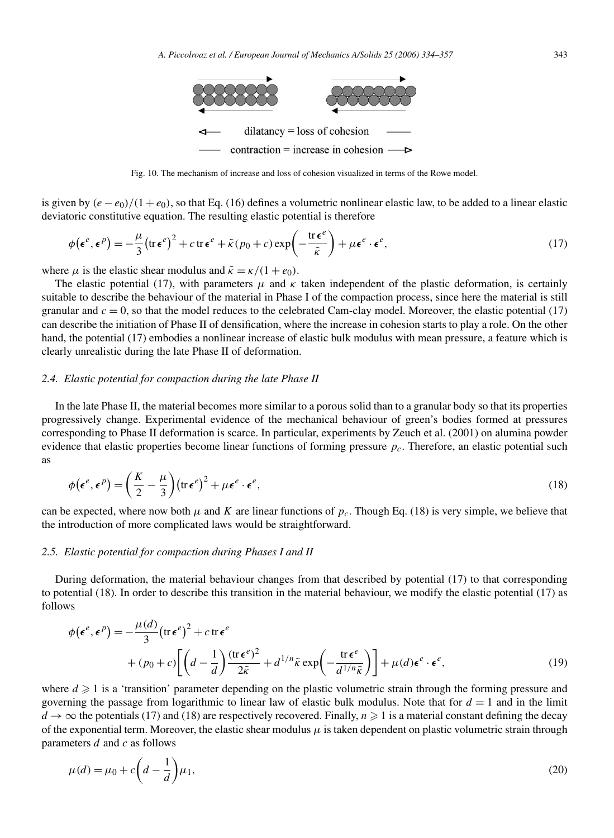

Fig. 10. The mechanism of increase and loss of cohesion visualized in terms of the Rowe model.

is given by  $(e - e_0)/(1 + e_0)$ , so that Eq. (16) defines a volumetric nonlinear elastic law, to be added to a linear elastic deviatoric constitutive equation. The resulting elastic potential is therefore

$$
\phi(\epsilon^e, \epsilon^p) = -\frac{\mu}{3} \left( \text{tr} \,\epsilon^e \right)^2 + c \,\text{tr} \,\epsilon^e + \tilde{\kappa} \left( p_0 + c \right) \exp\left( -\frac{\text{tr} \,\epsilon^e}{\tilde{\kappa}} \right) + \mu \epsilon^e \cdot \epsilon^e, \tag{17}
$$

where  $\mu$  is the elastic shear modulus and  $\tilde{\kappa} = \kappa/(1 + e_0)$ .

The elastic potential (17), with parameters  $\mu$  and  $\kappa$  taken independent of the plastic deformation, is certainly suitable to describe the behaviour of the material in Phase I of the compaction process, since here the material is still granular and  $c = 0$ , so that the model reduces to the celebrated Cam-clay model. Moreover, the elastic potential (17) can describe the initiation of Phase II of densification, where the increase in cohesion starts to play a role. On the other hand, the potential (17) embodies a nonlinear increase of elastic bulk modulus with mean pressure, a feature which is clearly unrealistic during the late Phase II of deformation.

#### *2.4. Elastic potential for compaction during the late Phase II*

In the late Phase II, the material becomes more similar to a porous solid than to a granular body so that its properties progressively change. Experimental evidence of the mechanical behaviour of green's bodies formed at pressures corresponding to Phase II deformation is scarce. In particular, experiments by Zeuch et al. (2001) on alumina powder evidence that elastic properties become linear functions of forming pressure *pc*. Therefore, an elastic potential such as

$$
\phi(\epsilon^e, \epsilon^p) = \left(\frac{K}{2} - \frac{\mu}{3}\right) (\text{tr}\,\epsilon^e)^2 + \mu \epsilon^e \cdot \epsilon^e,
$$
\n(18)

can be expected, where now both  $\mu$  and *K* are linear functions of  $p_c$ . Though Eq. (18) is very simple, we believe that the introduction of more complicated laws would be straightforward.

#### *2.5. Elastic potential for compaction during Phases I and II*

During deformation, the material behaviour changes from that described by potential (17) to that corresponding to potential (18). In order to describe this transition in the material behaviour, we modify the elastic potential (17) as follows

$$
\phi(\epsilon^e, \epsilon^p) = -\frac{\mu(d)}{3} (\text{tr}\,\epsilon^e)^2 + c \,\text{tr}\,\epsilon^e
$$
  
+ 
$$
(p_0 + c) \left[ \left( d - \frac{1}{d} \right) \frac{(\text{tr}\,\epsilon^e)^2}{2\tilde{\kappa}} + d^{1/n} \tilde{\kappa} \exp\left( -\frac{\text{tr}\,\epsilon^e}{d^{1/n}\tilde{\kappa}} \right) \right] + \mu(d)\epsilon^e \cdot \epsilon^e,
$$
 (19)

where  $d \geq 1$  is a 'transition' parameter depending on the plastic volumetric strain through the forming pressure and governing the passage from logarithmic to linear law of elastic bulk modulus. Note that for  $d = 1$  and in the limit  $d \to \infty$  the potentials (17) and (18) are respectively recovered. Finally,  $n \ge 1$  is a material constant defining the decay of the exponential term. Moreover, the elastic shear modulus  $\mu$  is taken dependent on plastic volumetric strain through parameters *d* and *c* as follows

$$
\mu(d) = \mu_0 + c\left(d - \frac{1}{d}\right)\mu_1,\tag{20}
$$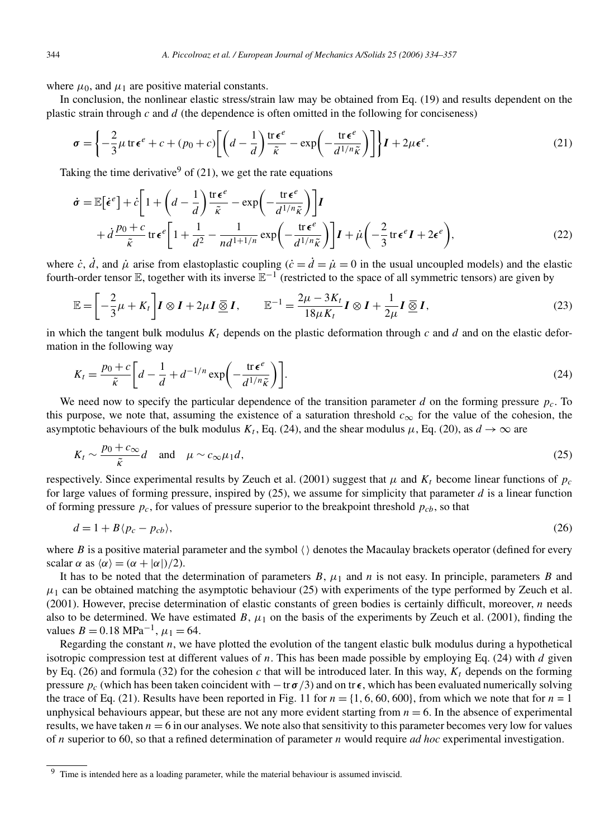where  $\mu_0$ , and  $\mu_1$  are positive material constants.

In conclusion, the nonlinear elastic stress/strain law may be obtained from Eq. (19) and results dependent on the plastic strain through *c* and *d* (the dependence is often omitted in the following for conciseness)

$$
\sigma = \left\{ -\frac{2}{3}\mu \operatorname{tr} \epsilon^e + c + (p_0 + c) \left[ \left( d - \frac{1}{d} \right) \frac{\operatorname{tr} \epsilon^e}{\tilde{\kappa}} - \exp \left( -\frac{\operatorname{tr} \epsilon^e}{d^{1/n} \tilde{\kappa}} \right) \right] \right\} I + 2\mu \epsilon^e. \tag{21}
$$

Taking the time derivative  $9$  of (21), we get the rate equations

$$
\dot{\sigma} = \mathbb{E}[\dot{\epsilon}^e] + \dot{c} \left[ 1 + \left( d - \frac{1}{d} \right) \frac{\text{tr}\,\epsilon^e}{\tilde{\kappa}} - \exp\left( -\frac{\text{tr}\,\epsilon^e}{d^{1/n}\tilde{\kappa}} \right) \right] \mathbf{I} + \dot{d} \frac{p_0 + c}{\tilde{\kappa}} \text{tr}\,\epsilon^e \left[ 1 + \frac{1}{d^2} - \frac{1}{nd^{1+1/n}} \exp\left( -\frac{\text{tr}\,\epsilon^e}{d^{1/n}\tilde{\kappa}} \right) \right] \mathbf{I} + \dot{\mu} \left( -\frac{2}{3} \text{tr}\,\epsilon^e \mathbf{I} + 2\epsilon^e \right),
$$
 (22)

where *c*,  $\dot{d}$ , and  $\dot{\mu}$  arise from elastoplastic coupling ( $\dot{c} = \dot{d} = \dot{\mu} = 0$  in the usual uncoupled models) and the elastic fourth-order tensor  $\mathbb E$ , together with its inverse  $\mathbb E^{-1}$  (restricted to the space of all symmetric tensors) are given by

$$
\mathbb{E} = \left[ -\frac{2}{3}\mu + K_t \right] I \otimes I + 2\mu I \underline{\overline{\otimes}} I, \qquad \mathbb{E}^{-1} = \frac{2\mu - 3K_t}{18\mu K_t} I \otimes I + \frac{1}{2\mu} I \underline{\overline{\otimes}} I,\tag{23}
$$

in which the tangent bulk modulus  $K_t$  depends on the plastic deformation through  $c$  and  $d$  and on the elastic deformation in the following way

$$
K_t = \frac{p_0 + c}{\tilde{\kappa}} \left[ d - \frac{1}{d} + d^{-1/n} \exp\left( -\frac{\text{tr}\,\epsilon^e}{d^{1/n}\tilde{\kappa}} \right) \right].\tag{24}
$$

We need now to specify the particular dependence of the transition parameter *d* on the forming pressure  $p_c$ . To this purpose, we note that, assuming the existence of a saturation threshold  $c_{\infty}$  for the value of the cohesion, the asymptotic behaviours of the bulk modulus  $K_t$ , Eq. (24), and the shear modulus  $\mu$ , Eq. (20), as  $d \rightarrow \infty$  are

$$
K_t \sim \frac{p_0 + c_{\infty}}{\tilde{\kappa}} d \quad \text{and} \quad \mu \sim c_{\infty} \mu_1 d,
$$
 (25)

respectively. Since experimental results by Zeuch et al. (2001) suggest that  $\mu$  and  $K_t$  become linear functions of  $p_c$ for large values of forming pressure, inspired by  $(25)$ , we assume for simplicity that parameter *d* is a linear function of forming pressure  $p_c$ , for values of pressure superior to the breakpoint threshold  $p_{cb}$ , so that

$$
d = 1 + B\langle p_c - p_{cb} \rangle,\tag{26}
$$

where  $B$  is a positive material parameter and the symbol  $\langle \rangle$  denotes the Macaulay brackets operator (defined for every scalar  $\alpha$  as  $\langle \alpha \rangle = (\alpha + |\alpha|)/2$ ).

It has to be noted that the determination of parameters  $B$ ,  $\mu_1$  and  $n$  is not easy. In principle, parameters  $B$  and  $\mu_1$  can be obtained matching the asymptotic behaviour (25) with experiments of the type performed by Zeuch et al. (2001). However, precise determination of elastic constants of green bodies is certainly difficult, moreover, *n* needs also to be determined. We have estimated  $B$ ,  $\mu_1$  on the basis of the experiments by Zeuch et al. (2001), finding the values  $B = 0.18 \text{ MPa}^{-1}$ ,  $\mu_1 = 64$ .

Regarding the constant *n*, we have plotted the evolution of the tangent elastic bulk modulus during a hypothetical isotropic compression test at different values of *n*. This has been made possible by employing Eq. (24) with *d* given by Eq. (26) and formula (32) for the cohesion *c* that will be introduced later. In this way,  $K_t$  depends on the forming pressure  $p_c$  (which has been taken coincident with  $-\text{tr } \sigma/3$ ) and on tr $\epsilon$ , which has been evaluated numerically solving the trace of Eq. (21). Results have been reported in Fig. 11 for  $n = \{1, 6, 60, 600\}$ , from which we note that for  $n = 1$ unphysical behaviours appear, but these are not any more evident starting from  $n = 6$ . In the absence of experimental results, we have taken  $n = 6$  in our analyses. We note also that sensitivity to this parameter becomes very low for values of *n* superior to 60, so that a refined determination of parameter *n* would require *ad hoc* experimental investigation.

<sup>&</sup>lt;sup>9</sup> Time is intended here as a loading parameter, while the material behaviour is assumed inviscid.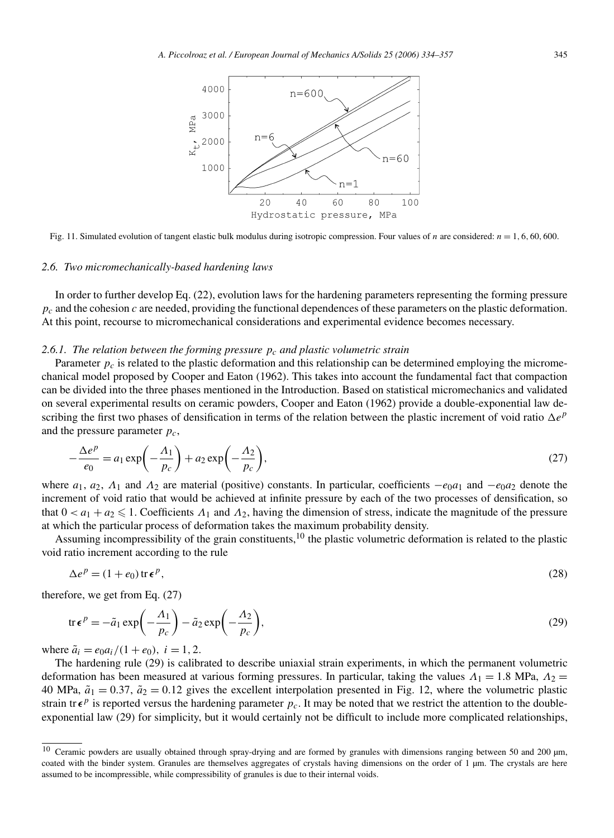

Fig. 11. Simulated evolution of tangent elastic bulk modulus during isotropic compression. Four values of *n* are considered: *n* = 1*,* 6*,* 60*,* 600.

#### *2.6. Two micromechanically-based hardening laws*

In order to further develop Eq. (22), evolution laws for the hardening parameters representing the forming pressure *pc* and the cohesion *c* are needed, providing the functional dependences of these parameters on the plastic deformation. At this point, recourse to micromechanical considerations and experimental evidence becomes necessary.

# 2.6.1. The relation between the forming pressure  $p_c$  and plastic volumetric strain

Parameter  $p_c$  is related to the plastic deformation and this relationship can be determined employing the micromechanical model proposed by Cooper and Eaton (1962). This takes into account the fundamental fact that compaction can be divided into the three phases mentioned in the Introduction. Based on statistical micromechanics and validated on several experimental results on ceramic powders, Cooper and Eaton (1962) provide a double-exponential law describing the first two phases of densification in terms of the relation between the plastic increment of void ratio  $\Delta e^p$ and the pressure parameter *pc*,

$$
-\frac{\Delta e^p}{e_0} = a_1 \exp\left(-\frac{\Lambda_1}{p_c}\right) + a_2 \exp\left(-\frac{\Lambda_2}{p_c}\right),\tag{27}
$$

where  $a_1, a_2, \Lambda_1$  and  $\Lambda_2$  are material (positive) constants. In particular, coefficients  $-e_0a_1$  and  $-e_0a_2$  denote the increment of void ratio that would be achieved at infinite pressure by each of the two processes of densification, so that  $0 < a_1 + a_2 \leq 1$ . Coefficients  $\Lambda_1$  and  $\Lambda_2$ , having the dimension of stress, indicate the magnitude of the pressure at which the particular process of deformation takes the maximum probability density.

Assuming incompressibility of the grain constituents, $10$  the plastic volumetric deformation is related to the plastic void ratio increment according to the rule

$$
\Delta e^p = (1 + e_0) \operatorname{tr} \epsilon^p,\tag{28}
$$

therefore, we get from Eq. (27)

$$
\operatorname{tr} \epsilon^p = -\tilde{a}_1 \exp\left(-\frac{\Lambda_1}{p_c}\right) - \tilde{a}_2 \exp\left(-\frac{\Lambda_2}{p_c}\right),\tag{29}
$$

where  $\tilde{a}_i = e_0 a_i / (1 + e_0)$ ,  $i = 1, 2$ .

The hardening rule (29) is calibrated to describe uniaxial strain experiments, in which the permanent volumetric deformation has been measured at various forming pressures. In particular, taking the values *Λ*<sup>1</sup> = 1*.*8 MPa, *Λ*<sup>2</sup> = 40 MPa,  $\tilde{a}_1 = 0.37$ ,  $\tilde{a}_2 = 0.12$  gives the excellent interpolation presented in Fig. 12, where the volumetric plastic strain tr $\epsilon^p$  is reported versus the hardening parameter  $p_c$ . It may be noted that we restrict the attention to the doubleexponential law (29) for simplicity, but it would certainly not be difficult to include more complicated relationships,

 $10$  Ceramic powders are usually obtained through spray-drying and are formed by granules with dimensions ranging between 50 and 200  $\mu$ m, coated with the binder system. Granules are themselves aggregates of crystals having dimensions on the order of 1 µm. The crystals are here assumed to be incompressible, while compressibility of granules is due to their internal voids.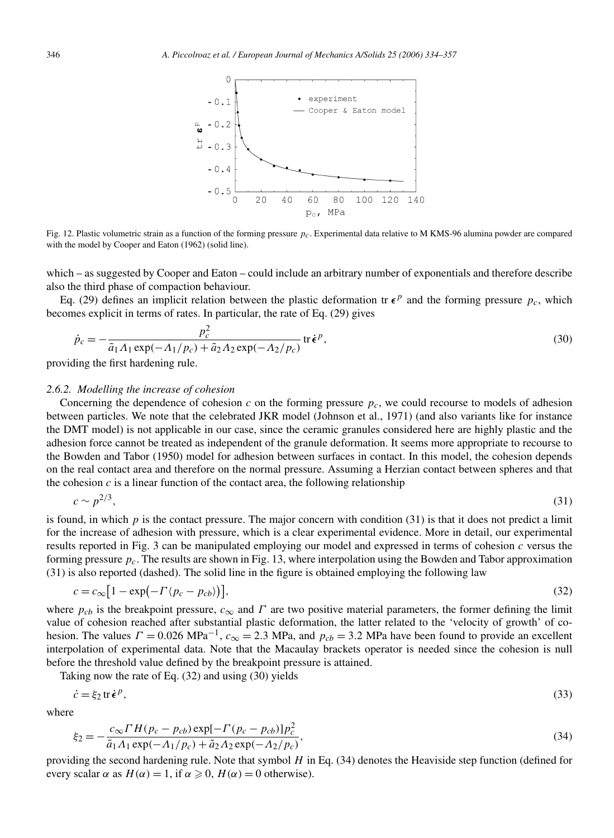

Fig. 12. Plastic volumetric strain as a function of the forming pressure *pc*. Experimental data relative to M KMS-96 alumina powder are compared with the model by Cooper and Eaton (1962) (solid line).

which – as suggested by Cooper and Eaton – could include an arbitrary number of exponentials and therefore describe also the third phase of compaction behaviour.

Eq. (29) defines an implicit relation between the plastic deformation tr  $\epsilon^p$  and the forming pressure  $p_c$ , which becomes explicit in terms of rates. In particular, the rate of Eq. (29) gives

$$
\dot{p}_c = -\frac{p_c^2}{\tilde{a}_1 A_1 \exp(-A_1/p_c) + \tilde{a}_2 A_2 \exp(-A_2/p_c)} \operatorname{tr} \dot{\epsilon}^p,
$$
\n(30)

providing the first hardening rule.

## *2.6.2. Modelling the increase of cohesion*

Concerning the dependence of cohesion  $c$  on the forming pressure  $p_c$ , we could recourse to models of adhesion between particles. We note that the celebrated JKR model (Johnson et al., 1971) (and also variants like for instance the DMT model) is not applicable in our case, since the ceramic granules considered here are highly plastic and the adhesion force cannot be treated as independent of the granule deformation. It seems more appropriate to recourse to the Bowden and Tabor (1950) model for adhesion between surfaces in contact. In this model, the cohesion depends on the real contact area and therefore on the normal pressure. Assuming a Herzian contact between spheres and that the cohesion  $c$  is a linear function of the contact area, the following relationship

$$
c \sim p^{2/3},\tag{31}
$$

is found, in which *p* is the contact pressure. The major concern with condition (31) is that it does not predict a limit for the increase of adhesion with pressure, which is a clear experimental evidence. More in detail, our experimental results reported in Fig. 3 can be manipulated employing our model and expressed in terms of cohesion *c* versus the forming pressure *pc*. The results are shown in Fig. 13, where interpolation using the Bowden and Tabor approximation (31) is also reported (dashed). The solid line in the figure is obtained employing the following law

$$
c = c_{\infty} \left[ 1 - \exp\left(-\Gamma \langle p_c - p_{cb} \rangle \right) \right],\tag{32}
$$

where  $p_{cb}$  is the breakpoint pressure,  $c_{\infty}$  and  $\Gamma$  are two positive material parameters, the former defining the limit value of cohesion reached after substantial plastic deformation, the latter related to the 'velocity of growth' of cohesion. The values  $\Gamma = 0.026 \text{ MPa}^{-1}$ ,  $c_{\infty} = 2.3 \text{ MPa}$ , and  $p_{cb} = 3.2 \text{ MPa}$  have been found to provide an excellent interpolation of experimental data. Note that the Macaulay brackets operator is needed since the cohesion is null before the threshold value defined by the breakpoint pressure is attained.

Taking now the rate of Eq. (32) and using (30) yields

$$
\dot{c} = \xi_2 \operatorname{tr} \dot{\epsilon}^p,\tag{33}
$$

where

$$
\xi_2 = -\frac{c_{\infty} H (p_c - p_{cb}) \exp[-\Gamma(p_c - p_{cb})] p_c^2}{\tilde{a}_1 A_1 \exp(-A_1/p_c) + \tilde{a}_2 A_2 \exp(-A_2/p_c)},
$$
\n(34)

providing the second hardening rule. Note that symbol *H* in Eq. (34) denotes the Heaviside step function (defined for every scalar  $\alpha$  as  $H(\alpha) = 1$ , if  $\alpha \ge 0$ ,  $H(\alpha) = 0$  otherwise).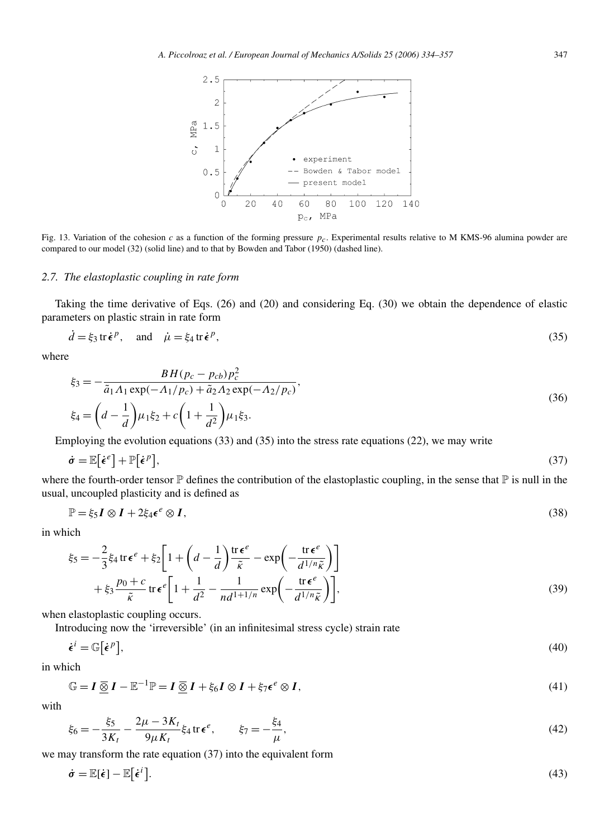

Fig. 13. Variation of the cohesion *c* as a function of the forming pressure *pc*. Experimental results relative to M KMS-96 alumina powder are compared to our model (32) (solid line) and to that by Bowden and Tabor (1950) (dashed line).

#### *2.7. The elastoplastic coupling in rate form*

Taking the time derivative of Eqs. (26) and (20) and considering Eq. (30) we obtain the dependence of elastic parameters on plastic strain in rate form

$$
\dot{d} = \xi_3 \operatorname{tr} \dot{\epsilon}^p, \quad \text{and} \quad \dot{\mu} = \xi_4 \operatorname{tr} \dot{\epsilon}^p,\tag{35}
$$

where

$$
\xi_3 = -\frac{BH(p_c - p_{cb})p_c^2}{\tilde{a}_1 A_1 \exp(-A_1/p_c) + \tilde{a}_2 A_2 \exp(-A_2/p_c)},
$$
  
\n
$$
\xi_4 = \left(d - \frac{1}{d}\right) \mu_1 \xi_2 + c \left(1 + \frac{1}{d^2}\right) \mu_1 \xi_3.
$$
\n(36)

Employing the evolution equations (33) and (35) into the stress rate equations (22), we may write

$$
\dot{\boldsymbol{\sigma}} = \mathbb{E}\big[\dot{\boldsymbol{\epsilon}}^e\big] + \mathbb{P}\big[\dot{\boldsymbol{\epsilon}}^p\big],\tag{37}
$$

where the fourth-order tensor  $\mathbb P$  defines the contribution of the elastoplastic coupling, in the sense that  $\mathbb P$  is null in the usual, uncoupled plasticity and is defined as

$$
\mathbb{P} = \xi_5 I \otimes I + 2\xi_4 \epsilon^e \otimes I,\tag{38}
$$

in which

$$
\xi_5 = -\frac{2}{3}\xi_4 \operatorname{tr} \epsilon^e + \xi_2 \left[ 1 + \left( d - \frac{1}{d} \right) \frac{\operatorname{tr} \epsilon^e}{\tilde{\kappa}} - \exp \left( -\frac{\operatorname{tr} \epsilon^e}{d^{1/n} \tilde{\kappa}} \right) \right] + \xi_3 \frac{p_0 + c}{\tilde{\kappa}} \operatorname{tr} \epsilon^e \left[ 1 + \frac{1}{d^2} - \frac{1}{nd^{1+1/n}} \exp \left( -\frac{\operatorname{tr} \epsilon^e}{d^{1/n} \tilde{\kappa}} \right) \right],
$$
(39)

when elastoplastic coupling occurs.

Introducing now the 'irreversible' (in an infinitesimal stress cycle) strain rate

$$
\dot{\epsilon}^i = \mathbb{G}\big[\dot{\epsilon}^p\big],\tag{40}
$$

in which

$$
\mathbb{G} = I \underline{\overline{\otimes}} I - \mathbb{E}^{-1} \mathbb{P} = I \underline{\overline{\otimes}} I + \xi_6 I \otimes I + \xi_7 \epsilon^e \otimes I,
$$
\n(41)

with

$$
\xi_6 = -\frac{\xi_5}{3K_t} - \frac{2\mu - 3K_t}{9\mu K_t} \xi_4 \operatorname{tr} \epsilon^e, \qquad \xi_7 = -\frac{\xi_4}{\mu},\tag{42}
$$

we may transform the rate equation (37) into the equivalent form

$$
\dot{\sigma} = \mathbb{E}[\dot{\epsilon}] - \mathbb{E}[\dot{\epsilon}^i].
$$
\n(43)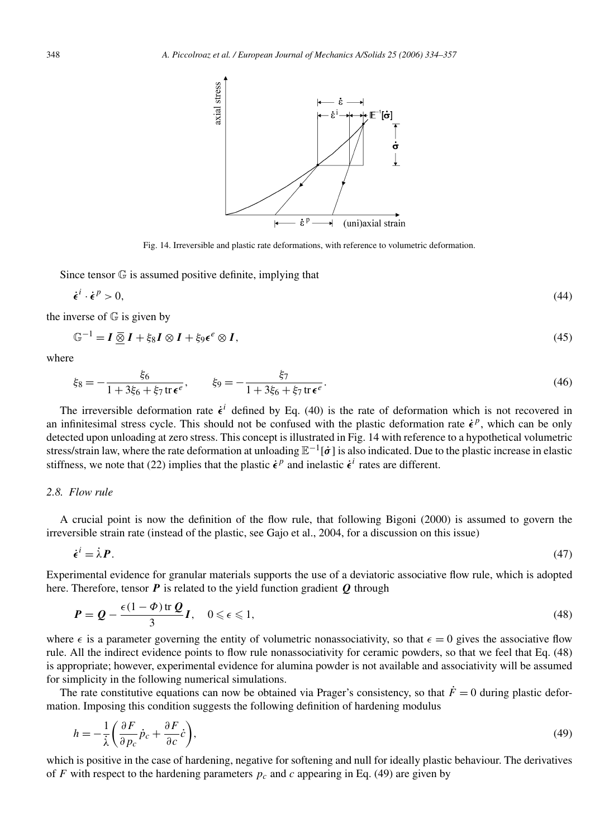

Fig. 14. Irreversible and plastic rate deformations, with reference to volumetric deformation.

Since tensor G is assumed positive definite, implying that

$$
\dot{\epsilon}^i \cdot \dot{\epsilon}^p > 0,\tag{44}
$$

the inverse of  $\mathbb G$  is given by

$$
\mathbb{G}^{-1} = I \,\overline{\otimes}\, I + \xi_8 I \otimes I + \xi_9 \epsilon^e \otimes I,\tag{45}
$$

where

$$
\xi_8 = -\frac{\xi_6}{1 + 3\xi_6 + \xi_7 \operatorname{tr} \epsilon^e}, \qquad \xi_9 = -\frac{\xi_7}{1 + 3\xi_6 + \xi_7 \operatorname{tr} \epsilon^e}.
$$
\n(46)

The irreversible deformation rate  $\dot{\epsilon}^i$  defined by Eq. (40) is the rate of deformation which is not recovered in an infinitesimal stress cycle. This should not be confused with the plastic deformation rate  $\dot{\epsilon}^p$ , which can be only detected upon unloading at zero stress. This concept is illustrated in Fig. 14 with reference to a hypothetical volumetric stress/strain law, where the rate deformation at unloading E−1[*σ*˙] is also indicated. Due to the plastic increase in elastic stiffness, we note that (22) implies that the plastic  $\dot{\epsilon}^p$  and inelastic  $\dot{\epsilon}^i$  rates are different.

#### *2.8. Flow rule*

A crucial point is now the definition of the flow rule, that following Bigoni (2000) is assumed to govern the irreversible strain rate (instead of the plastic, see Gajo et al., 2004, for a discussion on this issue)

$$
\dot{\epsilon}^i = \dot{\lambda} P. \tag{47}
$$

Experimental evidence for granular materials supports the use of a deviatoric associative flow rule, which is adopted here. Therefore, tensor *P* is related to the yield function gradient *Q* through

$$
P = Q - \frac{\epsilon(1 - \Phi) \operatorname{tr} Q}{3} I, \quad 0 \leqslant \epsilon \leqslant 1,
$$
\n<sup>(48)</sup>

where  $\epsilon$  is a parameter governing the entity of volumetric nonassociativity, so that  $\epsilon = 0$  gives the associative flow rule. All the indirect evidence points to flow rule nonassociativity for ceramic powders, so that we feel that Eq. (48) is appropriate; however, experimental evidence for alumina powder is not available and associativity will be assumed for simplicity in the following numerical simulations.

The rate constitutive equations can now be obtained via Prager's consistency, so that  $\dot{F} = 0$  during plastic deformation. Imposing this condition suggests the following definition of hardening modulus

$$
h = -\frac{1}{\lambda} \left( \frac{\partial F}{\partial p_c} \dot{p}_c + \frac{\partial F}{\partial c} \dot{c} \right),\tag{49}
$$

which is positive in the case of hardening, negative for softening and null for ideally plastic behaviour. The derivatives of *F* with respect to the hardening parameters  $p_c$  and *c* appearing in Eq. (49) are given by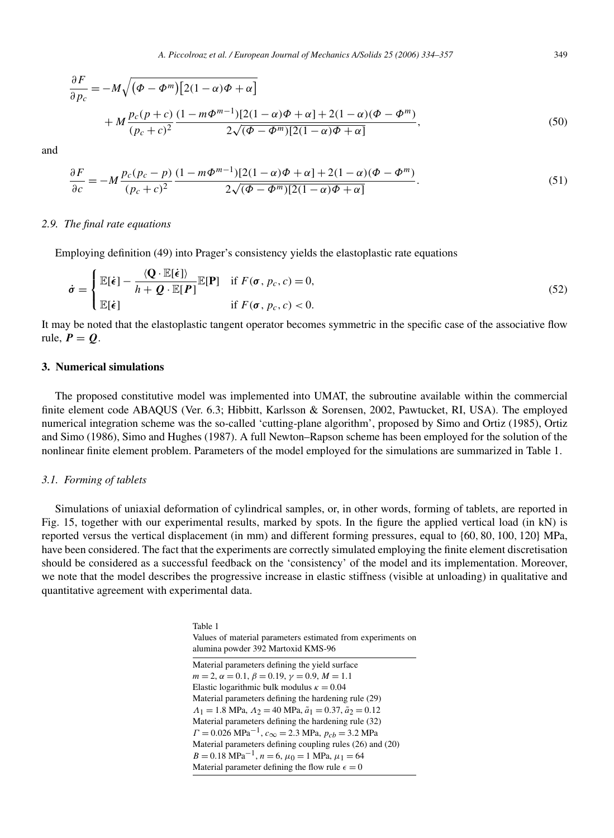$$
\frac{\partial F}{\partial p_c} = -M \sqrt{(\Phi - \Phi^m) [2(1 - \alpha)\Phi + \alpha]}
$$
  
+ 
$$
M \frac{p_c(p + c)}{(p_c + c)^2} \frac{(1 - m\Phi^{m-1}) [2(1 - \alpha)\Phi + \alpha] + 2(1 - \alpha)(\Phi - \Phi^m)}{2\sqrt{(\Phi - \Phi^m) [2(1 - \alpha)\Phi + \alpha]}}
$$
 (50)

and

$$
\frac{\partial F}{\partial c} = -M \frac{p_c(p_c - p)}{(p_c + c)^2} \frac{(1 - m\Phi^{m-1})[2(1 - \alpha)\Phi + \alpha] + 2(1 - \alpha)(\Phi - \Phi^m)}{2\sqrt{(\Phi - \Phi^m)[2(1 - \alpha)\Phi + \alpha]}}.
$$
(51)

# *2.9. The final rate equations*

Employing definition (49) into Prager's consistency yields the elastoplastic rate equations

$$
\dot{\sigma} = \begin{cases} \mathbb{E}[\dot{\epsilon}] - \frac{\langle \mathbf{Q} \cdot \mathbb{E}[\dot{\epsilon}]\rangle}{h + \mathbf{Q} \cdot \mathbb{E}[\mathbf{P}]} & \text{if } F(\sigma, p_c, c) = 0, \\ \mathbb{E}[\dot{\epsilon}] & \text{if } F(\sigma, p_c, c) < 0. \end{cases}
$$
(52)

It may be noted that the elastoplastic tangent operator becomes symmetric in the specific case of the associative flow rule,  $P = Q$ .

# **3. Numerical simulations**

The proposed constitutive model was implemented into UMAT, the subroutine available within the commercial finite element code ABAQUS (Ver. 6.3; Hibbitt, Karlsson & Sorensen, 2002, Pawtucket, RI, USA). The employed numerical integration scheme was the so-called 'cutting-plane algorithm', proposed by Simo and Ortiz (1985), Ortiz and Simo (1986), Simo and Hughes (1987). A full Newton–Rapson scheme has been employed for the solution of the nonlinear finite element problem. Parameters of the model employed for the simulations are summarized in Table 1.

#### *3.1. Forming of tablets*

Simulations of uniaxial deformation of cylindrical samples, or, in other words, forming of tablets, are reported in Fig. 15, together with our experimental results, marked by spots. In the figure the applied vertical load (in kN) is reported versus the vertical displacement (in mm) and different forming pressures, equal to {60*,* 80*,* 100*,* 120} MPa, have been considered. The fact that the experiments are correctly simulated employing the finite element discretisation should be considered as a successful feedback on the 'consistency' of the model and its implementation. Moreover, we note that the model describes the progressive increase in elastic stiffness (visible at unloading) in qualitative and quantitative agreement with experimental data.

> Table 1 Values of material parameters estimated from experiments on alumina powder 392 Martoxid KMS-96 Material parameters defining the yield surface  $m = 2, \alpha = 0.1, \beta = 0.19, \gamma = 0.9, M = 1.1$ Elastic logarithmic bulk modulus  $\kappa = 0.04$ Material parameters defining the hardening rule (29)  $Λ_1 = 1.8$  MPa,  $Λ_2 = 40$  MPa,  $\tilde{a}_1 = 0.37$ ,  $\tilde{a}_2 = 0.12$ Material parameters defining the hardening rule (32)  $\Gamma = 0.026 \text{ MPa}^{-1}$ ,  $c_{\infty} = 2.3 \text{ MPa}$ ,  $p_{cb} = 3.2 \text{ MPa}$ Material parameters defining coupling rules (26) and (20)  $B = 0.18 \text{ MPa}^{-1}$ ,  $n = 6$ ,  $\mu_0 = 1 \text{ MPa}$ ,  $\mu_1 = 64$ Material parameter defining the flow rule  $\epsilon = 0$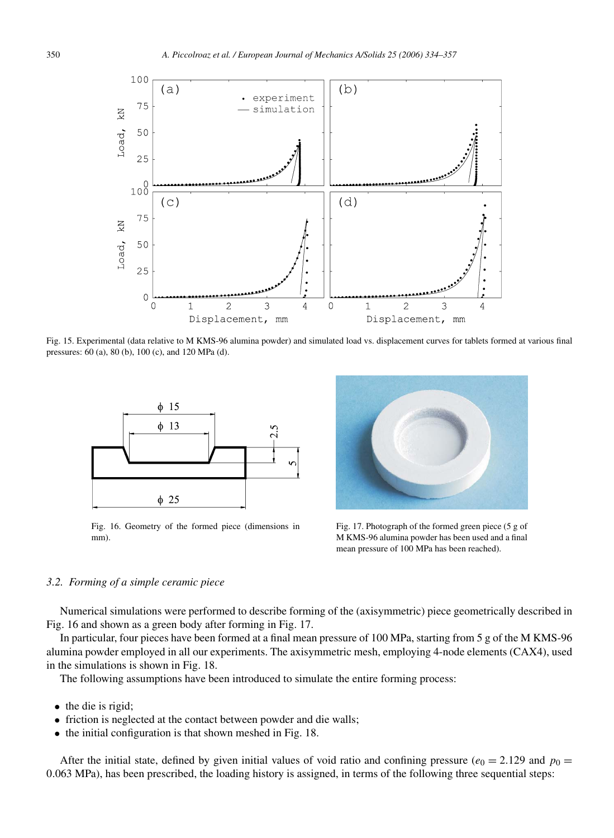

Fig. 15. Experimental (data relative to M KMS-96 alumina powder) and simulated load vs. displacement curves for tablets formed at various final pressures: 60 (a), 80 (b), 100 (c), and 120 MPa (d).



Fig. 16. Geometry of the formed piece (dimensions in mm).



Fig. 17. Photograph of the formed green piece (5 g of M KMS-96 alumina powder has been used and a final mean pressure of 100 MPa has been reached).

# *3.2. Forming of a simple ceramic piece*

Numerical simulations were performed to describe forming of the (axisymmetric) piece geometrically described in Fig. 16 and shown as a green body after forming in Fig. 17.

In particular, four pieces have been formed at a final mean pressure of 100 MPa, starting from 5 g of the M KMS-96 alumina powder employed in all our experiments. The axisymmetric mesh, employing 4-node elements (CAX4), used in the simulations is shown in Fig. 18.

The following assumptions have been introduced to simulate the entire forming process:

- the die is rigid;
- friction is neglected at the contact between powder and die walls;
- the initial configuration is that shown meshed in Fig. 18.

After the initial state, defined by given initial values of void ratio and confining pressure ( $e_0 = 2.129$  and  $p_0 =$ 0*.*063 MPa), has been prescribed, the loading history is assigned, in terms of the following three sequential steps: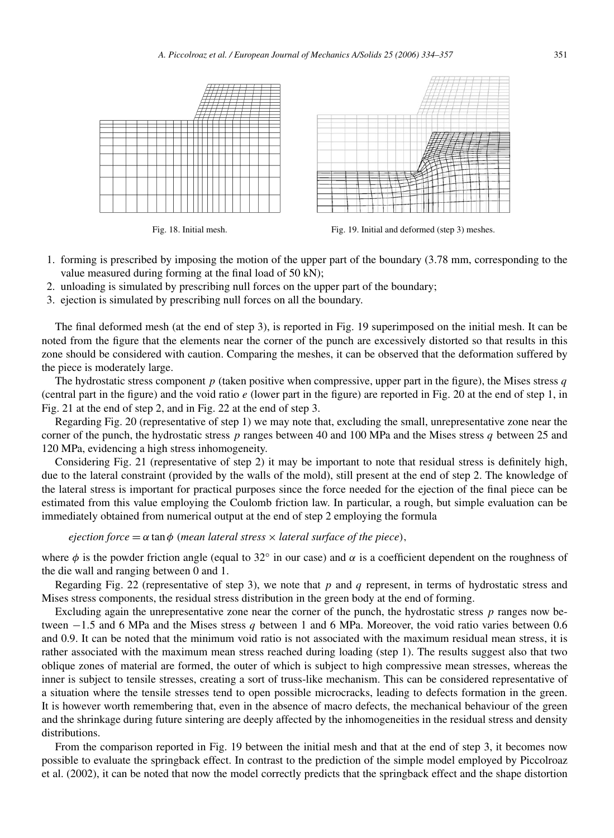

Fig. 18. Initial mesh. Fig. 19. Initial and deformed (step 3) meshes.

- 1. forming is prescribed by imposing the motion of the upper part of the boundary (3.78 mm, corresponding to the value measured during forming at the final load of 50 kN);
- 2. unloading is simulated by prescribing null forces on the upper part of the boundary;
- 3. ejection is simulated by prescribing null forces on all the boundary.

The final deformed mesh (at the end of step 3), is reported in Fig. 19 superimposed on the initial mesh. It can be noted from the figure that the elements near the corner of the punch are excessively distorted so that results in this zone should be considered with caution. Comparing the meshes, it can be observed that the deformation suffered by the piece is moderately large.

The hydrostatic stress component *p* (taken positive when compressive, upper part in the figure), the Mises stress *q* (central part in the figure) and the void ratio *e* (lower part in the figure) are reported in Fig. 20 at the end of step 1, in Fig. 21 at the end of step 2, and in Fig. 22 at the end of step 3.

Regarding Fig. 20 (representative of step 1) we may note that, excluding the small, unrepresentative zone near the corner of the punch, the hydrostatic stress *p* ranges between 40 and 100 MPa and the Mises stress *q* between 25 and 120 MPa, evidencing a high stress inhomogeneity.

Considering Fig. 21 (representative of step 2) it may be important to note that residual stress is definitely high, due to the lateral constraint (provided by the walls of the mold), still present at the end of step 2. The knowledge of the lateral stress is important for practical purposes since the force needed for the ejection of the final piece can be estimated from this value employing the Coulomb friction law. In particular, a rough, but simple evaluation can be immediately obtained from numerical output at the end of step 2 employing the formula

*ejection force* = *α* tan*φ (mean lateral stress* × *lateral surface of the piece),*

where  $\phi$  is the powder friction angle (equal to 32° in our case) and  $\alpha$  is a coefficient dependent on the roughness of the die wall and ranging between 0 and 1.

Regarding Fig. 22 (representative of step 3), we note that *p* and *q* represent, in terms of hydrostatic stress and Mises stress components, the residual stress distribution in the green body at the end of forming.

Excluding again the unrepresentative zone near the corner of the punch, the hydrostatic stress *p* ranges now between −1*.*5 and 6 MPa and the Mises stress *q* between 1 and 6 MPa. Moreover, the void ratio varies between 0.6 and 0.9. It can be noted that the minimum void ratio is not associated with the maximum residual mean stress, it is rather associated with the maximum mean stress reached during loading (step 1). The results suggest also that two oblique zones of material are formed, the outer of which is subject to high compressive mean stresses, whereas the inner is subject to tensile stresses, creating a sort of truss-like mechanism. This can be considered representative of a situation where the tensile stresses tend to open possible microcracks, leading to defects formation in the green. It is however worth remembering that, even in the absence of macro defects, the mechanical behaviour of the green and the shrinkage during future sintering are deeply affected by the inhomogeneities in the residual stress and density distributions.

From the comparison reported in Fig. 19 between the initial mesh and that at the end of step 3, it becomes now possible to evaluate the springback effect. In contrast to the prediction of the simple model employed by Piccolroaz et al. (2002), it can be noted that now the model correctly predicts that the springback effect and the shape distortion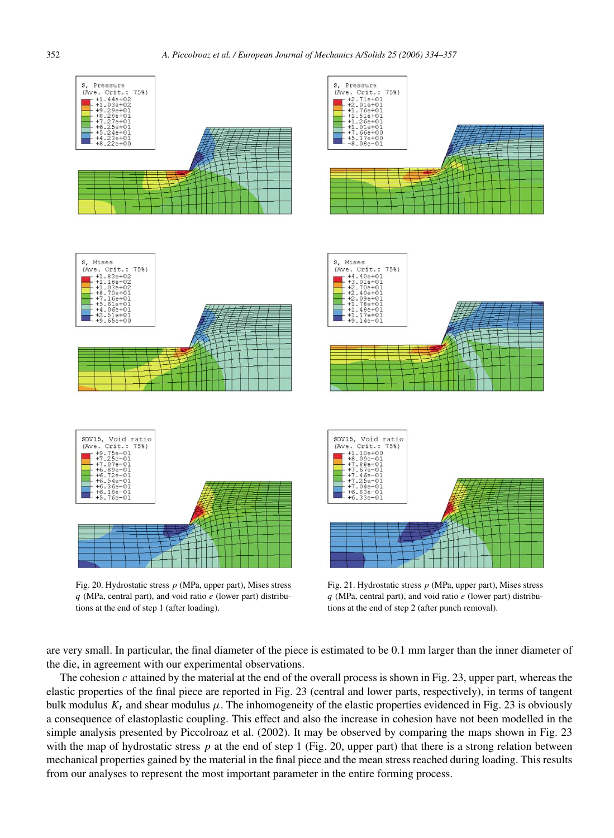

*q* (MPa, central part), and void ratio *e* (lower part) distributions at the end of step 1 (after loading).

Fig. 21. Hydrostatic stress *p* (MPa, upper part), Mises stress *q* (MPa, central part), and void ratio *e* (lower part) distributions at the end of step 2 (after punch removal).

are very small. In particular, the final diameter of the piece is estimated to be 0.1 mm larger than the inner diameter of the die, in agreement with our experimental observations.

The cohesion *c* attained by the material at the end of the overall process is shown in Fig. 23, upper part, whereas the elastic properties of the final piece are reported in Fig. 23 (central and lower parts, respectively), in terms of tangent bulk modulus  $K_t$  and shear modulus  $\mu$ . The inhomogeneity of the elastic properties evidenced in Fig. 23 is obviously a consequence of elastoplastic coupling. This effect and also the increase in cohesion have not been modelled in the simple analysis presented by Piccolroaz et al. (2002). It may be observed by comparing the maps shown in Fig. 23 with the map of hydrostatic stress p at the end of step 1 (Fig. 20, upper part) that there is a strong relation between mechanical properties gained by the material in the final piece and the mean stress reached during loading. This results from our analyses to represent the most important parameter in the entire forming process.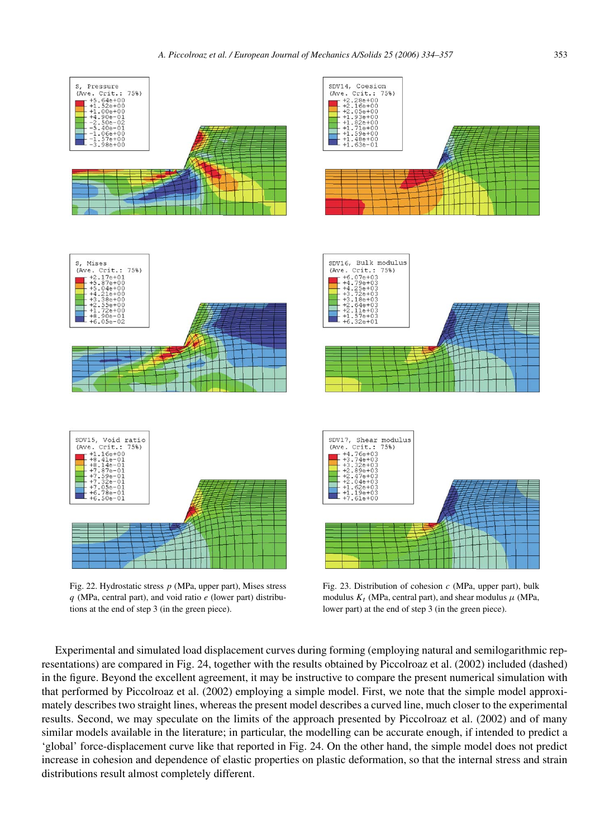



Fig. 22. Hydrostatic stress *p* (MPa, upper part), Mises stress *q* (MPa, central part), and void ratio *e* (lower part) distributions at the end of step 3 (in the green piece).

Fig. 23. Distribution of cohesion *c* (MPa, upper part), bulk modulus  $K_t$  (MPa, central part), and shear modulus  $\mu$  (MPa, lower part) at the end of step 3 (in the green piece).

Experimental and simulated load displacement curves during forming (employing natural and semilogarithmic representations) are compared in Fig. 24, together with the results obtained by Piccolroaz et al. (2002) included (dashed) in the figure. Beyond the excellent agreement, it may be instructive to compare the present numerical simulation with that performed by Piccolroaz et al. (2002) employing a simple model. First, we note that the simple model approximately describes two straight lines, whereas the present model describes a curved line, much closer to the experimental results. Second, we may speculate on the limits of the approach presented by Piccolroaz et al. (2002) and of many similar models available in the literature; in particular, the modelling can be accurate enough, if intended to predict a 'global' force-displacement curve like that reported in Fig. 24. On the other hand, the simple model does not predict increase in cohesion and dependence of elastic properties on plastic deformation, so that the internal stress and strain distributions result almost completely different.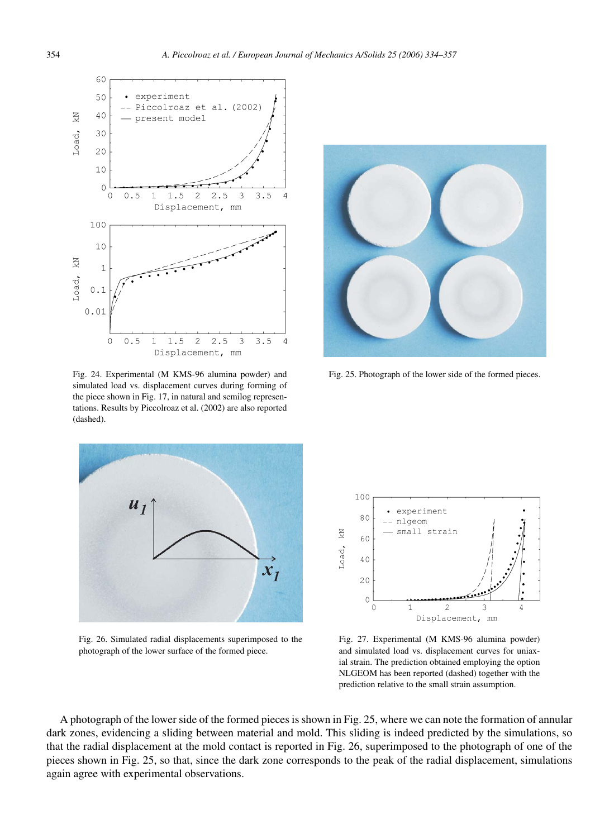

Fig. 24. Experimental (M KMS-96 alumina powder) and simulated load vs. displacement curves during forming of the piece shown in Fig. 17, in natural and semilog representations. Results by Piccolroaz et al. (2002) are also reported (dashed).



Fig. 25. Photograph of the lower side of the formed pieces.



Fig. 26. Simulated radial displacements superimposed to the photograph of the lower surface of the formed piece.



Fig. 27. Experimental (M KMS-96 alumina powder) and simulated load vs. displacement curves for uniaxial strain. The prediction obtained employing the option NLGEOM has been reported (dashed) together with the prediction relative to the small strain assumption.

A photograph of the lower side of the formed pieces is shown in Fig. 25, where we can note the formation of annular dark zones, evidencing a sliding between material and mold. This sliding is indeed predicted by the simulations, so that the radial displacement at the mold contact is reported in Fig. 26, superimposed to the photograph of one of the pieces shown in Fig. 25, so that, since the dark zone corresponds to the peak of the radial displacement, simulations again agree with experimental observations.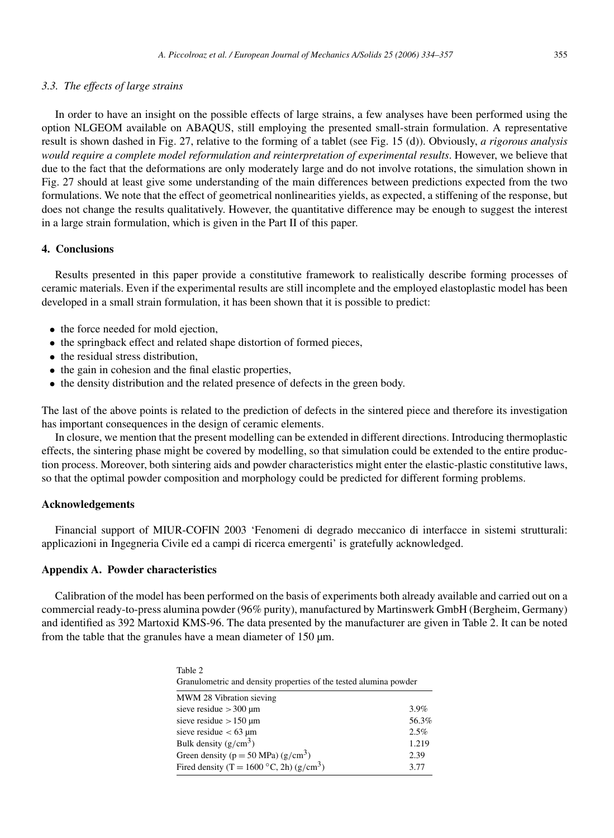#### *3.3. The effects of large strains*

In order to have an insight on the possible effects of large strains, a few analyses have been performed using the option NLGEOM available on ABAQUS, still employing the presented small-strain formulation. A representative result is shown dashed in Fig. 27, relative to the forming of a tablet (see Fig. 15 (d)). Obviously, *a rigorous analysis would require a complete model reformulation and reinterpretation of experimental results*. However, we believe that due to the fact that the deformations are only moderately large and do not involve rotations, the simulation shown in Fig. 27 should at least give some understanding of the main differences between predictions expected from the two formulations. We note that the effect of geometrical nonlinearities yields, as expected, a stiffening of the response, but does not change the results qualitatively. However, the quantitative difference may be enough to suggest the interest in a large strain formulation, which is given in the Part II of this paper.

# **4. Conclusions**

Results presented in this paper provide a constitutive framework to realistically describe forming processes of ceramic materials. Even if the experimental results are still incomplete and the employed elastoplastic model has been developed in a small strain formulation, it has been shown that it is possible to predict:

- the force needed for mold ejection,
- the springback effect and related shape distortion of formed pieces,
- the residual stress distribution,
- the gain in cohesion and the final elastic properties,
- the density distribution and the related presence of defects in the green body.

The last of the above points is related to the prediction of defects in the sintered piece and therefore its investigation has important consequences in the design of ceramic elements.

In closure, we mention that the present modelling can be extended in different directions. Introducing thermoplastic effects, the sintering phase might be covered by modelling, so that simulation could be extended to the entire production process. Moreover, both sintering aids and powder characteristics might enter the elastic-plastic constitutive laws, so that the optimal powder composition and morphology could be predicted for different forming problems.

#### **Acknowledgements**

Financial support of MIUR-COFIN 2003 'Fenomeni di degrado meccanico di interfacce in sistemi strutturali: applicazioni in Ingegneria Civile ed a campi di ricerca emergenti' is gratefully acknowledged.

# **Appendix A. Powder characteristics**

Calibration of the model has been performed on the basis of experiments both already available and carried out on a commercial ready-to-press alumina powder (96% purity), manufactured by Martinswerk GmbH (Bergheim, Germany) and identified as 392 Martoxid KMS-96. The data presented by the manufacturer are given in Table 2. It can be noted from the table that the granules have a mean diameter of 150 µm.

> Table 2 Granulometric and density properties of the tested alumina powder

| MWM 28 Vibration sieving                             |         |
|------------------------------------------------------|---------|
| sieve residue $>300 \text{ µm}$                      | $3.9\%$ |
| sieve residue $> 150 \text{ µm}$                     | 56.3%   |
| sieve residue $< 63 \text{ µm}$                      | 2.5%    |
| Bulk density $(g/cm^3)$                              | 1.219   |
| Green density ( $p = 50$ MPa) ( $g/cm3$ )            | 2.39    |
| Fired density (T = 1600 °C, 2h) (g/cm <sup>3</sup> ) | 3.77    |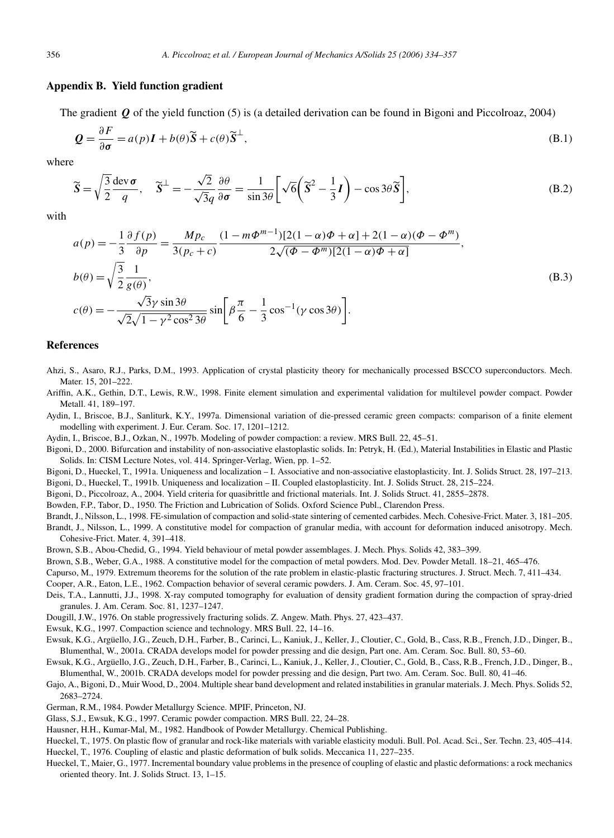#### **Appendix B. Yield function gradient**

The gradient *Q* of the yield function (5) is (a detailed derivation can be found in Bigoni and Piccolroaz, 2004)

$$
\mathbf{Q} = \frac{\partial F}{\partial \sigma} = a(p)\mathbf{I} + b(\theta)\widetilde{\mathbf{S}} + c(\theta)\widetilde{\mathbf{S}}^{\perp},
$$
\n(B.1)

where

$$
\widetilde{S} = \sqrt{\frac{3}{2}} \frac{dev \sigma}{q}, \quad \widetilde{S}^{\perp} = -\frac{\sqrt{2}}{\sqrt{3}q} \frac{\partial \theta}{\partial \sigma} = \frac{1}{\sin 3\theta} \left[ \sqrt{6} \left( \widetilde{S}^2 - \frac{1}{3} I \right) - \cos 3\theta \widetilde{S} \right],
$$
\n(B.2)

with

$$
a(p) = -\frac{1}{3} \frac{\partial f(p)}{\partial p} = \frac{Mp_c}{3(p_c + c)} \frac{(1 - m\Phi^{m-1})[2(1 - \alpha)\Phi + \alpha] + 2(1 - \alpha)(\Phi - \Phi^m)}{2\sqrt{(\Phi - \Phi^m)[2(1 - \alpha)\Phi + \alpha]}},
$$
  
\n
$$
b(\theta) = \sqrt{\frac{3}{2}} \frac{1}{g(\theta)},
$$
  
\n
$$
c(\theta) = -\frac{\sqrt{3}\gamma \sin 3\theta}{\sqrt{2}\sqrt{1 - \gamma^2 \cos^2 3\theta}} \sin \left[\beta \frac{\pi}{6} - \frac{1}{3} \cos^{-1}(\gamma \cos 3\theta)\right].
$$
\n(B.3)

#### **References**

- Ahzi, S., Asaro, R.J., Parks, D.M., 1993. Application of crystal plasticity theory for mechanically processed BSCCO superconductors. Mech. Mater. 15, 201–222.
- Ariffin, A.K., Gethin, D.T., Lewis, R.W., 1998. Finite element simulation and experimental validation for multilevel powder compact. Powder Metall. 41, 189–197.
- Aydin, I., Briscoe, B.J., Sanliturk, K.Y., 1997a. Dimensional variation of die-pressed ceramic green compacts: comparison of a finite element modelling with experiment. J. Eur. Ceram. Soc. 17, 1201–1212.
- Aydin, I., Briscoe, B.J., Ozkan, N., 1997b. Modeling of powder compaction: a review. MRS Bull. 22, 45–51.
- Bigoni, D., 2000. Bifurcation and instability of non-associative elastoplastic solids. In: Petryk, H. (Ed.), Material Instabilities in Elastic and Plastic Solids. In: CISM Lecture Notes, vol. 414. Springer-Verlag, Wien, pp. 1–52.
- Bigoni, D., Hueckel, T., 1991a. Uniqueness and localization I. Associative and non-associative elastoplasticity. Int. J. Solids Struct. 28, 197–213.
- Bigoni, D., Hueckel, T., 1991b. Uniqueness and localization II. Coupled elastoplasticity. Int. J. Solids Struct. 28, 215–224.
- Bigoni, D., Piccolroaz, A., 2004. Yield criteria for quasibrittle and frictional materials. Int. J. Solids Struct. 41, 2855–2878.
- Bowden, F.P., Tabor, D., 1950. The Friction and Lubrication of Solids. Oxford Science Publ., Clarendon Press.
- Brandt, J., Nilsson, L., 1998. FE-simulation of compaction and solid-state sintering of cemented carbides. Mech. Cohesive-Frict. Mater. 3, 181–205.
- Brandt, J., Nilsson, L., 1999. A constitutive model for compaction of granular media, with account for deformation induced anisotropy. Mech. Cohesive-Frict. Mater. 4, 391–418.
- Brown, S.B., Abou-Chedid, G., 1994. Yield behaviour of metal powder assemblages. J. Mech. Phys. Solids 42, 383–399.
- Brown, S.B., Weber, G.A., 1988. A constitutive model for the compaction of metal powders. Mod. Dev. Powder Metall. 18–21, 465–476.
- Capurso, M., 1979. Extremum theorems for the solution of the rate problem in elastic-plastic fracturing structures. J. Struct. Mech. 7, 411–434.
- Cooper, A.R., Eaton, L.E., 1962. Compaction behavior of several ceramic powders. J. Am. Ceram. Soc. 45, 97–101.
- Deis, T.A., Lannutti, J.J., 1998. X-ray computed tomography for evaluation of density gradient formation during the compaction of spray-dried granules. J. Am. Ceram. Soc. 81, 1237–1247.
- Dougill, J.W., 1976. On stable progressively fracturing solids. Z. Angew. Math. Phys. 27, 423–437.
- Ewsuk, K.G., 1997. Compaction science and technology. MRS Bull. 22, 14–16.
- Ewsuk, K.G., Argüello, J.G., Zeuch, D.H., Farber, B., Carinci, L., Kaniuk, J., Keller, J., Cloutier, C., Gold, B., Cass, R.B., French, J.D., Dinger, B., Blumenthal, W., 2001a. CRADA develops model for powder pressing and die design, Part one. Am. Ceram. Soc. Bull. 80, 53–60.
- Ewsuk, K.G., Argüello, J.G., Zeuch, D.H., Farber, B., Carinci, L., Kaniuk, J., Keller, J., Cloutier, C., Gold, B., Cass, R.B., French, J.D., Dinger, B., Blumenthal, W., 2001b. CRADA develops model for powder pressing and die design, Part two. Am. Ceram. Soc. Bull. 80, 41–46.
- Gajo, A., Bigoni, D., Muir Wood, D., 2004. Multiple shear band development and related instabilities in granular materials. J. Mech. Phys. Solids 52, 2683–2724.
- German, R.M., 1984. Powder Metallurgy Science. MPIF, Princeton, NJ.
- Glass, S.J., Ewsuk, K.G., 1997. Ceramic powder compaction. MRS Bull. 22, 24–28.
- Hausner, H.H., Kumar-Mal, M., 1982. Handbook of Powder Metallurgy. Chemical Publishing.
- Hueckel, T., 1975. On plastic flow of granular and rock-like materials with variable elasticity moduli. Bull. Pol. Acad. Sci., Ser. Techn. 23, 405–414.
- Hueckel, T., 1976. Coupling of elastic and plastic deformation of bulk solids. Meccanica 11, 227–235.
- Hueckel, T., Maier, G., 1977. Incremental boundary value problems in the presence of coupling of elastic and plastic deformations: a rock mechanics oriented theory. Int. J. Solids Struct. 13, 1–15.